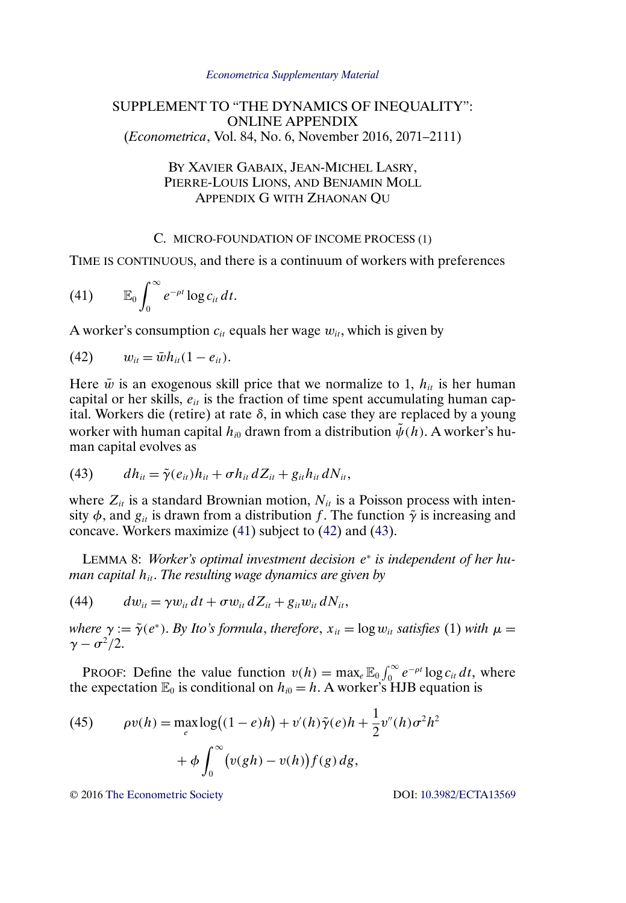#### *[Econometrica Supplementary Material](http://www.econometricsociety.org/suppmatlist.asp)*

# <span id="page-0-0"></span>SUPPLEMENT TO "THE DYNAMICS OF INEQUALITY": ONLINE APPENDIX (*Econometrica*, Vol. 84, No. 6, November 2016, 2071–2111)

# BY XAVIER GABAIX, JEAN-MICHEL LASRY, PIERRE-LOUIS LIONS, AND BENJAMIN MOLL APPENDIX G WITH ZHAONAN QU

# C. MICRO-FOUNDATION OF INCOME PROCESS (1)

TIME IS CONTINUOUS, and there is a continuum of workers with preferences

$$
(41) \t\t \mathbb{E}_0 \int_0^\infty e^{-\rho t} \log c_{it} dt.
$$

A worker's consumption  $c_{it}$  equals her wage  $w_{it}$ , which is given by

(42) 
$$
w_{it} = \bar{w}h_{it}(1 - e_{it}).
$$

Here  $\bar{w}$  is an exogenous skill price that we normalize to 1,  $h_{it}$  is her human capital or her skills,  $e_{it}$  is the fraction of time spent accumulating human capital. Workers die (retire) at rate  $\delta$ , in which case they are replaced by a young worker with human capital  $h_{i0}$  drawn from a distribution  $\tilde{\psi}(h)$ . A worker's human capital evolves as

(43) 
$$
dh_{it} = \tilde{\gamma}(e_{it})h_{it} + \sigma h_{it} dZ_{it} + g_{it}h_{it} dN_{it},
$$

where  $Z_{it}$  is a standard Brownian motion,  $N_{it}$  is a Poisson process with intensity  $\phi$ , and  $g_{it}$  is drawn from a distribution f. The function  $\tilde{\gamma}$  is increasing and concave. Workers maximize (41) subject to (42) and (43).

LEMMA 8: *Worker's optimal investment decision* e<sup>∗</sup> *is independent of her human capital h<sub>it</sub>. The resulting wage dynamics are given by* 

(44) 
$$
dw_{it} = \gamma w_{it} dt + \sigma w_{it} dZ_{it} + g_{it} w_{it} dN_{it},
$$

*where*  $\gamma := \tilde{\gamma}(e^*)$ . *By Ito's formula, therefore,*  $x_{it} = \log w_{it}$  *satisfies* (1) *with*  $\mu =$  $\gamma - \sigma^2/2$ .

PROOF: Define the value function  $v(h) = \max_e \mathbb{E}_0 \int_0^\infty e^{-\rho t} \log c_{it} dt$ , where the expectation  $\mathbb{E}_0$  is conditional on  $h_{i0} = h$ . A worker's HJB equation is

(45) 
$$
\rho v(h) = \max_{e} \log((1-e)h) + v'(h)\tilde{\gamma}(e)h + \frac{1}{2}v''(h)\sigma^2 h^2 + \phi \int_0^\infty (v(gh) - v(h))f(g) dg,
$$

© 2016 [The Econometric Society](http://www.econometricsociety.org/) DOI: [10.3982/ECTA13569](http://dx.doi.org/10.3982/ECTA13569)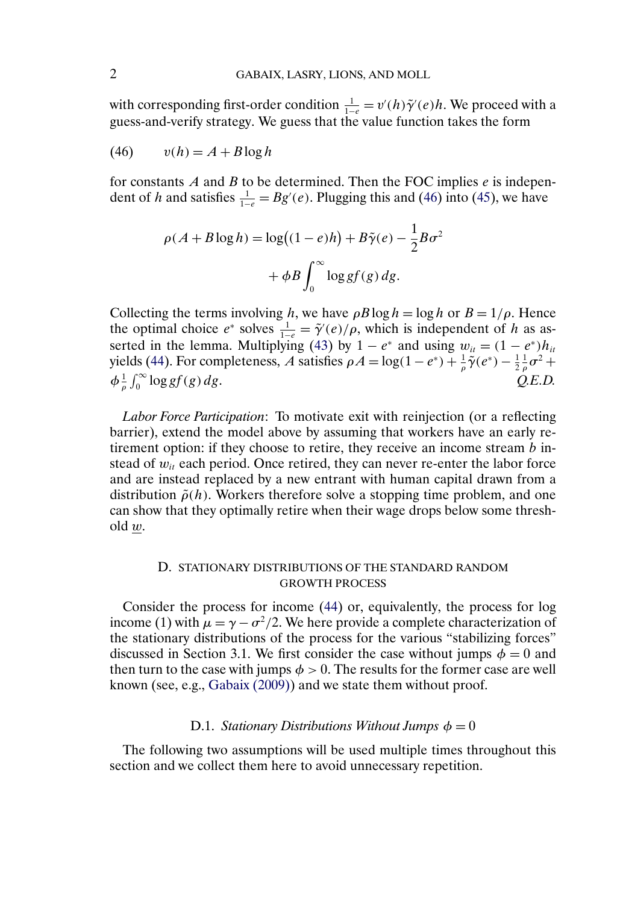<span id="page-1-0"></span>with corresponding first-order condition  $\frac{1}{1-e} = v'(h)\tilde{\gamma}'(e)h$ . We proceed with a guess-and-verify strategy. We guess that the value function takes the form

$$
(46) \qquad v(h) = A + B \log h
$$

for constants  $A$  and  $B$  to be determined. Then the FOC implies  $e$  is independent of h and satisfies  $\frac{1}{1-e} = Bg'(e)$ . Plugging this and (46) into [\(45\)](#page-0-0), we have

$$
\rho(A + B \log h) = \log((1 - e)h) + B\tilde{\gamma}(e) - \frac{1}{2}B\sigma^2
$$

$$
+ \phi B \int_0^\infty \log gf(g) \, dg.
$$

Collecting the terms involving h, we have  $\rho B \log h = \log h$  or  $B = 1/\rho$ . Hence the optimal choice  $e^*$  solves  $\frac{1}{1-e} = \tilde{\gamma}'(e)/\rho$ , which is independent of h as as-serted in the lemma. Multiplying [\(43\)](#page-0-0) by  $1 - e^*$  and using  $w_{it} = (1 - e^*)h_{it}$ yields [\(44\)](#page-0-0). For completeness, A satisfies  $\rho A = \log(1 - e^*) + \frac{1}{\rho}\tilde{\gamma}(e^*) - \frac{1}{2}\frac{1}{\rho}\sigma^2 +$  $\phi \frac{1}{\rho} \int_0^\infty \log gf(g) \, dg.$   $Q.E.D.$ 

*Labor Force Participation*: To motivate exit with reinjection (or a reflecting barrier), extend the model above by assuming that workers have an early retirement option: if they choose to retire, they receive an income stream  $b$  instead of  $w_{it}$  each period. Once retired, they can never re-enter the labor force and are instead replaced by a new entrant with human capital drawn from a distribution  $\tilde{\rho}(h)$ . Workers therefore solve a stopping time problem, and one can show that they optimally retire when their wage drops below some thresh $old w$ .

## D. STATIONARY DISTRIBUTIONS OF THE STANDARD RANDOM GROWTH PROCESS

Consider the process for income [\(44\)](#page-0-0) or, equivalently, the process for log income (1) with  $\mu = \gamma - \sigma^2/2$ . We here provide a complete characterization of the stationary distributions of the process for the various "stabilizing forces" discussed in Section 3.1. We first consider the case without jumps  $\phi = 0$  and then turn to the case with jumps  $\phi > 0$ . The results for the former case are well known (see, e.g., [Gabaix \(2009\)\)](#page-37-0) and we state them without proof.

#### D.1. *Stationary Distributions Without Jumps*  $\phi = 0$

The following two assumptions will be used multiple times throughout this section and we collect them here to avoid unnecessary repetition.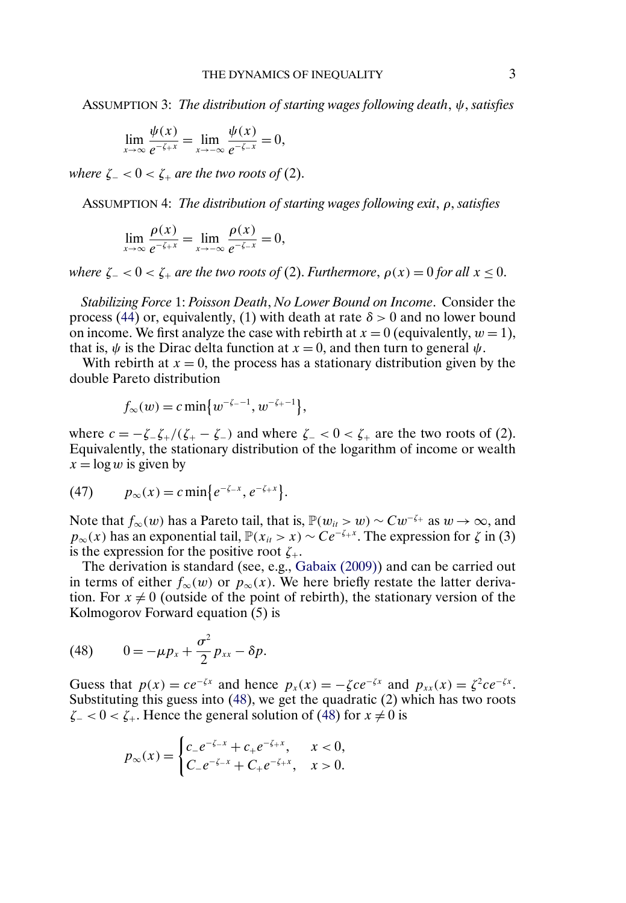<span id="page-2-0"></span>ASSUMPTION 3: *The distribution of starting wages following death*, ψ, *satisfies*

$$
\lim_{x \to \infty} \frac{\psi(x)}{e^{-\zeta + x}} = \lim_{x \to -\infty} \frac{\psi(x)}{e^{-\zeta - x}} = 0,
$$

*where*  $\zeta$ <sup>*-*</sup> < 0 <  $\zeta$ <sup>*+*</sup> *are the two roots of* (2).

ASSUMPTION 4: *The distribution of starting wages following exit*, ρ, *satisfies*

$$
\lim_{x \to \infty} \frac{\rho(x)}{e^{-\zeta + x}} = \lim_{x \to -\infty} \frac{\rho(x)}{e^{-\zeta - x}} = 0,
$$

*where*  $\zeta = 0 < \zeta$  *are the two roots of* (2). *Furthermore*,  $\rho(x) = 0$  *for all*  $x \le 0$ .

*Stabilizing Force* 1: *Poisson Death*, *No Lower Bound on Income*. Consider the process [\(44\)](#page-0-0) or, equivalently, (1) with death at rate  $\delta > 0$  and no lower bound on income. We first analyze the case with rebirth at  $x = 0$  (equivalently,  $w = 1$ ), that is,  $\psi$  is the Dirac delta function at  $x = 0$ , and then turn to general  $\psi$ .

With rebirth at  $x = 0$ , the process has a stationary distribution given by the double Pareto distribution

$$
f_{\infty}(w) = c \min \{ w^{-\zeta - 1}, w^{-\zeta + 1} \},
$$

where  $c = -\zeta_-\zeta_+ / (\zeta_+ - \zeta_-)$  and where  $\zeta_- < 0 < \zeta_+$  are the two roots of (2). Equivalently, the stationary distribution of the logarithm of income or wealth  $x = \log w$  is given by

(47) 
$$
p_{\infty}(x) = c \min \{e^{-\zeta x}, e^{-\zeta + x}\}.
$$

Note that  $f_{\infty}(w)$  has a Pareto tail, that is,  $\mathbb{P}(w_{it} > w) \sim Cw^{-\zeta_+}$  as  $w \to \infty$ , and  $p_{\infty}(x)$  has an exponential tail,  $\mathbb{P}(x_{it} > x) \sim Ce^{-\zeta + x}$ . The expression for  $\zeta$  in (3) is the expression for the positive root  $\zeta_{+}$ .

The derivation is standard (see, e.g., [Gabaix \(2009\)\)](#page-37-0) and can be carried out in terms of either  $f_{\infty}(w)$  or  $p_{\infty}(x)$ . We here briefly restate the latter derivation. For  $x \neq 0$  (outside of the point of rebirth), the stationary version of the Kolmogorov Forward equation (5) is

$$
(48) \qquad 0=-\mu p_x+\frac{\sigma^2}{2}p_{xx}-\delta p.
$$

Guess that  $p(x) = ce^{-\zeta x}$  and hence  $p_x(x) = -\zeta ce^{-\zeta x}$  and  $p_{xx}(x) = \zeta^2 ce^{-\zeta x}$ . Substituting this guess into (48), we get the quadratic (2) which has two roots  $\zeta$  – < 0 <  $\zeta$ . Hence the general solution of (48) for  $x \neq 0$  is

$$
p_{\infty}(x) = \begin{cases} c_{-}e^{-\zeta_{-}x} + c_{+}e^{-\zeta_{+}x}, & x < 0, \\ C_{-}e^{-\zeta_{-}x} + C_{+}e^{-\zeta_{+}x}, & x > 0. \end{cases}
$$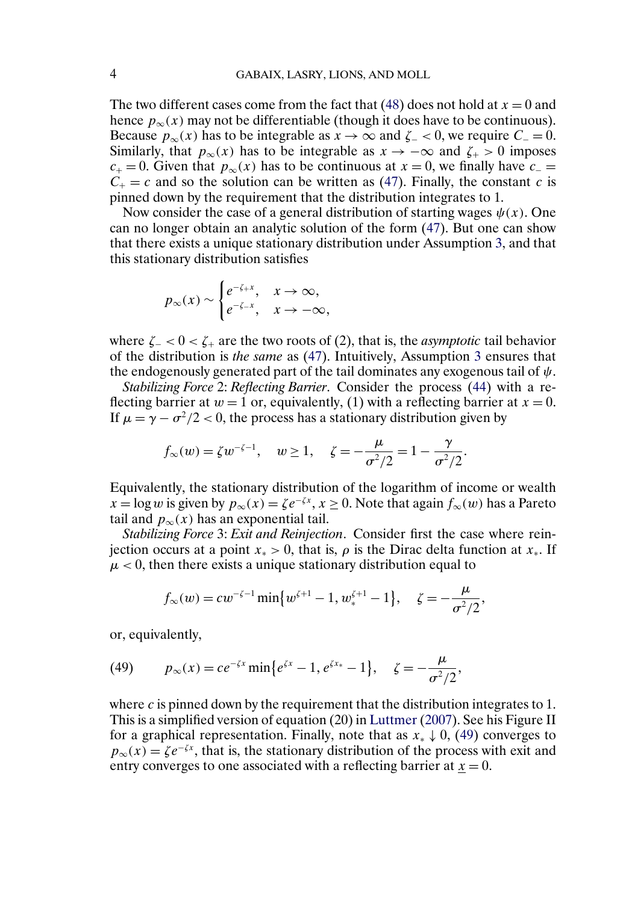<span id="page-3-0"></span>The two different cases come from the fact that [\(48\)](#page-2-0) does not hold at  $x = 0$  and hence  $p_{\infty}(x)$  may not be differentiable (though it does have to be continuous). Because  $p_{\infty}(x)$  has to be integrable as  $x \to \infty$  and  $\zeta$  –  $0$ , we require  $C = 0$ . Similarly, that  $p_{\infty}(x)$  has to be integrable as  $x \to -\infty$  and  $\zeta_{+} > 0$  imposes  $c_{+} = 0$ . Given that  $p_{\infty}(x)$  has to be continuous at  $x = 0$ , we finally have  $c_{-} =$  $C_+ = c$  and so the solution can be written as [\(47\)](#page-2-0). Finally, the constant c is pinned down by the requirement that the distribution integrates to 1.

Now consider the case of a general distribution of starting wages  $\psi(x)$ . One can no longer obtain an analytic solution of the form [\(47\)](#page-2-0). But one can show that there exists a unique stationary distribution under Assumption [3,](#page-2-0) and that this stationary distribution satisfies

$$
p_{\infty}(x) \sim \begin{cases} e^{-\zeta_{+}x}, & x \to \infty, \\ e^{-\zeta_{-}x}, & x \to -\infty, \end{cases}
$$

where  $\zeta = 0 < \zeta$  are the two roots of (2), that is, the *asymptotic* tail behavior of the distribution is *the same* as [\(47\)](#page-2-0). Intuitively, Assumption [3](#page-2-0) ensures that the endogenously generated part of the tail dominates any exogenous tail of  $\psi$ .

*Stabilizing Force* 2: *Reflecting Barrier*. Consider the process [\(44\)](#page-0-0) with a reflecting barrier at  $w = 1$  or, equivalently, (1) with a reflecting barrier at  $x = 0$ . If  $\mu = \gamma - \sigma^2/2 < 0$ , the process has a stationary distribution given by

$$
f_{\infty}(w) = \zeta w^{-\zeta - 1}, \quad w \ge 1, \quad \zeta = -\frac{\mu}{\sigma^2/2} = 1 - \frac{\gamma}{\sigma^2/2}.
$$

Equivalently, the stationary distribution of the logarithm of income or wealth  $x = \log w$  is given by  $p_{\infty}(x) = \zeta e^{-\zeta x}$ ,  $x \ge 0$ . Note that again  $f_{\infty}(w)$  has a Pareto tail and  $p_{\infty}(x)$  has an exponential tail.

*Stabilizing Force* 3: *Exit and Reinjection*. Consider first the case where reinjection occurs at a point  $x_* > 0$ , that is,  $\rho$  is the Dirac delta function at  $x_*$ . If  $\mu$  < 0, then there exists a unique stationary distribution equal to

$$
f_{\infty}(w) = cw^{-\zeta-1} \min \{w^{\zeta+1} - 1, w^{\zeta+1}_* - 1\}, \quad \zeta = -\frac{\mu}{\sigma^2/2},
$$

or, equivalently,

(49) 
$$
p_{\infty}(x) = ce^{-\zeta x} \min\{e^{\zeta x} - 1, e^{\zeta x_*} - 1\}, \quad \zeta = -\frac{\mu}{\sigma^2/2},
$$

where c is pinned down by the requirement that the distribution integrates to 1. This is a simplified version of equation (20) in [Luttmer](#page-38-0) [\(2007\)](#page-38-0). See his Figure II for a graphical representation. Finally, note that as  $x_* \downarrow 0$ , (49) converges to  $p_{\infty}(x) = \zeta e^{-\zeta x}$ , that is, the stationary distribution of the process with exit and entry converges to one associated with a reflecting barrier at  $x = 0$ .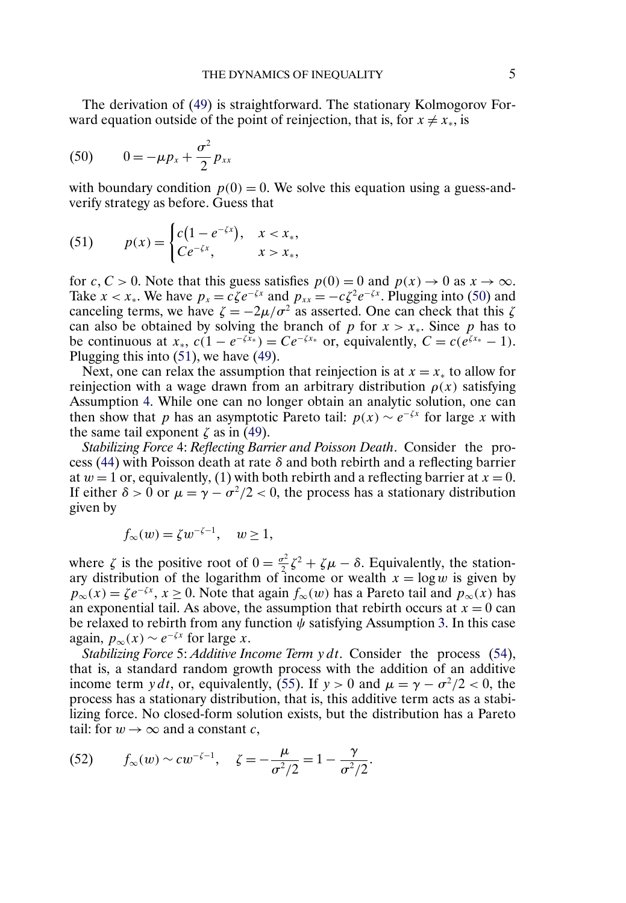The derivation of [\(49\)](#page-3-0) is straightforward. The stationary Kolmogorov Forward equation outside of the point of reinjection, that is, for  $x \neq x_*$ , is

(50) 
$$
0 = -\mu p_x + \frac{\sigma^2}{2} p_{xx}
$$

with boundary condition  $p(0) = 0$ . We solve this equation using a guess-andverify strategy as before. Guess that

(51) 
$$
p(x) = \begin{cases} c(1 - e^{-\zeta x}), & x < x_*, \\ Ce^{-\zeta x}, & x > x_*, \end{cases}
$$

for c, C > 0. Note that this guess satisfies  $p(0) = 0$  and  $p(x) \rightarrow 0$  as  $x \rightarrow \infty$ . Take  $x < x_*$ . We have  $p_x = c\zeta e^{-\zeta x}$  and  $p_{xx} = -c\zeta^2 e^{-\zeta x}$ . Plugging into (50) and canceling terms, we have  $\zeta = -2\mu/\sigma^2$  as asserted. One can check that this  $\zeta$ can also be obtained by solving the branch of p for  $x > x<sub>*</sub>$ . Since p has to be continuous at  $x_*$ ,  $c(1 - e^{-\zeta x_*}) = Ce^{-\zeta x_*}$  or, equivalently,  $C = c(e^{\zeta x_*} - 1)$ . Plugging this into (51), we have [\(49\)](#page-3-0).

Next, one can relax the assumption that reinjection is at  $x = x_*$  to allow for reinjection with a wage drawn from an arbitrary distribution  $\rho(x)$  satisfying Assumption [4.](#page-2-0) While one can no longer obtain an analytic solution, one can then show that p has an asymptotic Pareto tail:  $p(x) \sim e^{-\zeta x}$  for large x with the same tail exponent  $\zeta$  as in [\(49\)](#page-3-0).

*Stabilizing Force* 4: *Reflecting Barrier and Poisson Death*. Consider the pro-cess [\(44\)](#page-0-0) with Poisson death at rate  $\delta$  and both rebirth and a reflecting barrier at  $w = 1$  or, equivalently, (1) with both rebirth and a reflecting barrier at  $x = 0$ . If either  $\delta > 0$  or  $\mu = \gamma - \sigma^2/2 < 0$ , the process has a stationary distribution given by

$$
f_{\infty}(w) = \zeta w^{-\zeta - 1}, \quad w \ge 1,
$$

where  $\zeta$  is the positive root of  $0 = \frac{\sigma^2}{2} \zeta^2 + \zeta \mu - \delta$ . Equivalently, the stationary distribution of the logarithm of income or wealth  $x = \log w$  is given by  $p_{\infty}(x) = \zeta e^{-\zeta x}$ ,  $x \ge 0$ . Note that again  $f_{\infty}(w)$  has a Pareto tail and  $p_{\infty}(x)$  has an exponential tail. As above, the assumption that rebirth occurs at  $x = 0$  can be relaxed to rebirth from any function  $\psi$  satisfying Assumption [3.](#page-2-0) In this case again,  $p_{\infty}(x) \sim e^{-\zeta x}$  for large x.

*Stabilizing Force* 5: *Additive Income Term* y dt. Consider the process [\(54\)](#page-9-0), that is, a standard random growth process with the addition of an additive income term y dt, or, equivalently, [\(55\)](#page-9-0). If  $y > 0$  and  $\mu = \gamma - \sigma^2/2 < 0$ , the process has a stationary distribution, that is, this additive term acts as a stabilizing force. No closed-form solution exists, but the distribution has a Pareto tail: for  $w \rightarrow \infty$  and a constant c,

(52) 
$$
f_{\infty}(w) \sim cw^{-\zeta-1}, \quad \zeta = -\frac{\mu}{\sigma^2/2} = 1 - \frac{\gamma}{\sigma^2/2}.
$$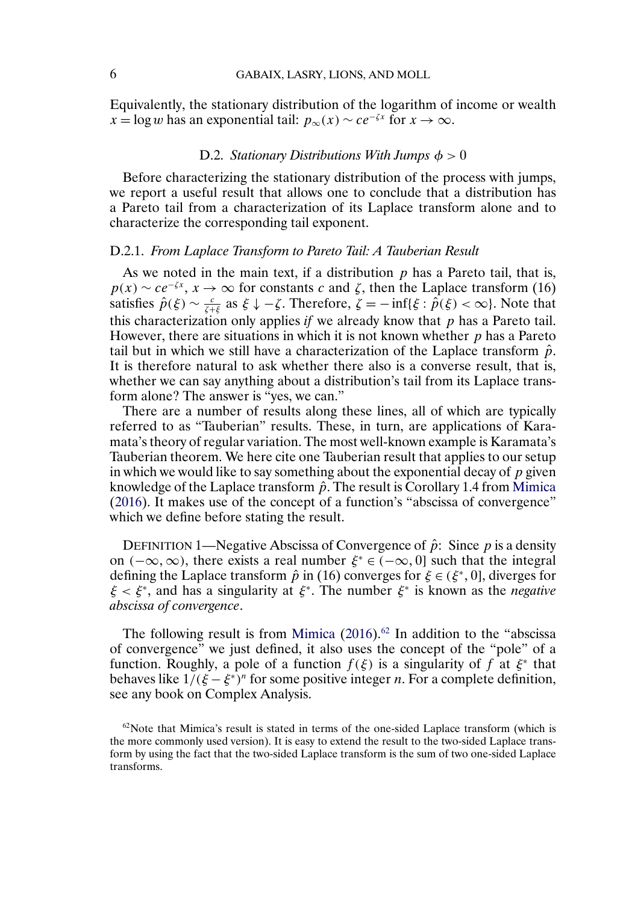<span id="page-5-0"></span>Equivalently, the stationary distribution of the logarithm of income or wealth  $x = \log w$  has an exponential tail:  $p_{\infty}(x) \sim ce^{-\zeta x}$  for  $x \to \infty$ .

#### D.2. *Stationary Distributions With Jumps*  $\phi > 0$

Before characterizing the stationary distribution of the process with jumps, we report a useful result that allows one to conclude that a distribution has a Pareto tail from a characterization of its Laplace transform alone and to characterize the corresponding tail exponent.

#### D.2.1. *From Laplace Transform to Pareto Tail: A Tauberian Result*

As we noted in the main text, if a distribution  $p$  has a Pareto tail, that is,  $p(x) \sim ce^{-\zeta x}$ ,  $x \to \infty$  for constants c and  $\zeta$ , then the Laplace transform (16) satisfies  $\hat{p}(\xi) \sim \frac{c}{\xi + \xi}$  as  $\xi \downarrow -\zeta$ . Therefore,  $\zeta = -\inf{\xi : \hat{p}(\xi) < \infty}$ . Note that this characterization only applies  $if$  we already know that  $p$  has a Pareto tail. However, there are situations in which it is not known whether  $p$  has a Pareto tail but in which we still have a characterization of the Laplace transform  $\hat{p}$ . It is therefore natural to ask whether there also is a converse result, that is, whether we can say anything about a distribution's tail from its Laplace transform alone? The answer is "yes, we can."

There are a number of results along these lines, all of which are typically referred to as "Tauberian" results. These, in turn, are applications of Karamata's theory of regular variation. The most well-known example is Karamata's Tauberian theorem. We here cite one Tauberian result that applies to our setup in which we would like to say something about the exponential decay of  $p$  given knowledge of the Laplace transform  $\hat{p}$ . The result is Corollary 1.4 from [Mimica](#page-38-0) [\(2016\)](#page-38-0). It makes use of the concept of a function's "abscissa of convergence" which we define before stating the result.

DEFINITION 1—Negative Abscissa of Convergence of  $\hat{p}$ : Since p is a density on ( $-\infty$ ,  $\infty$ ), there exists a real number  $\xi^* \in (-\infty, 0]$  such that the integral defining the Laplace transform  $\hat{p}$  in (16) converges for  $\xi \in (\xi^*, 0]$ , diverges for  $\xi < \xi^*$ , and has a singularity at  $\xi^*$ . The number  $\xi^*$  is known as the *negative abscissa of convergence*.

The following result is from [Mimica](#page-38-0)  $(2016)^{62}$  $(2016)^{62}$  In addition to the "abscissa of convergence" we just defined, it also uses the concept of the "pole" of a function. Roughly, a pole of a function  $f(\xi)$  is a singularity of f at  $\xi^*$  that behaves like  $1/(\xi - \xi^*)^n$  for some positive integer *n*. For a complete definition, see any book on Complex Analysis.

 $62$  Note that Mimica's result is stated in terms of the one-sided Laplace transform (which is the more commonly used version). It is easy to extend the result to the two-sided Laplace transform by using the fact that the two-sided Laplace transform is the sum of two one-sided Laplace transforms.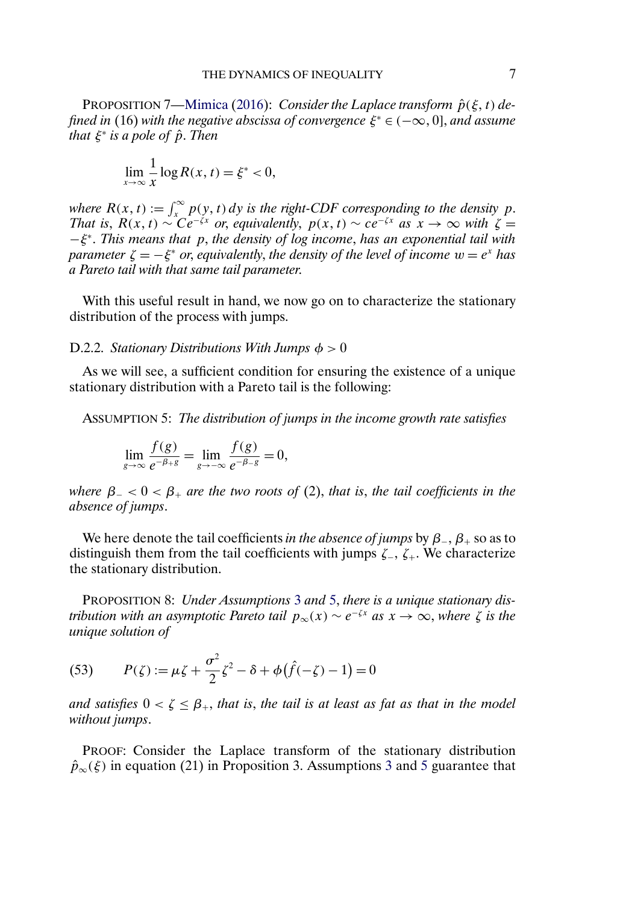<span id="page-6-0"></span>PROPOSITION 7[—Mimica](#page-38-0) [\(2016\)](#page-38-0): *Consider the Laplace transform*  $\hat{p}(\xi, t)$  de*fined in* (16) *with the negative abscissa of convergence*  $\xi^* \in (-\infty, 0]$ *, and assume that*  $\xi^*$  *is a pole of*  $\hat{p}$ *. Then* 

$$
\lim_{x \to \infty} \frac{1}{x} \log R(x, t) = \xi^* < 0,
$$

*where*  $R(x, t) := \int_x^{\infty} p(y, t) dy$  *is the right-CDF corresponding to the density* p. *That is*,  $R(x, t) \sim Ce^{-\zeta x}$  *or, equivalently,*  $p(x, t) \sim ce^{-\zeta x}$  *as*  $x \to \infty$  *with*  $\zeta =$ −ξ<sup>∗</sup>. *This means that* p, *the density of log income*, *has an exponential tail with parameter*  $\zeta = -\xi^*$  *or, equivalently, the density of the level of income*  $w = e^x$  *has a Pareto tail with that same tail parameter*.

With this useful result in hand, we now go on to characterize the stationary distribution of the process with jumps.

#### D.2.2. *Stationary Distributions With Jumps*  $\phi > 0$

As we will see, a sufficient condition for ensuring the existence of a unique stationary distribution with a Pareto tail is the following:

ASSUMPTION 5: *The distribution of jumps in the income growth rate satisfies*

$$
\lim_{g \to \infty} \frac{f(g)}{e^{-\beta + g}} = \lim_{g \to -\infty} \frac{f(g)}{e^{-\beta - g}} = 0,
$$

*where*  $\beta_{-} < 0 < \beta_{+}$  *are the two roots of* (2), *that is, the tail coefficients in the absence of jumps*.

We here denote the tail coefficients *in the absence of jumps* by  $\beta_-, \beta_+$  so as to distinguish them from the tail coefficients with jumps  $\zeta_-, \zeta_+$ . We characterize the stationary distribution.

PROPOSITION 8: *Under Assumptions* [3](#page-2-0) *and* 5, *there is a unique stationary distribution with an asymptotic Pareto tail*  $p_{\infty}(x) \sim e^{-\zeta x}$  *as*  $x \to \infty$ , *where*  $\zeta$  *is the unique solution of*

(53) 
$$
P(\zeta) := \mu \zeta + \frac{\sigma^2}{2} \zeta^2 - \delta + \phi (\hat{f}(-\zeta) - 1) = 0
$$

*and satisfies*  $0 < \zeta \leq \beta_+$ , *that is, the tail is at least as fat as that in the model without jumps*.

PROOF: Consider the Laplace transform of the stationary distribution  $\hat{p}_{\infty}(\xi)$  in equation (21) in Proposition [3](#page-2-0). Assumptions 3 and 5 guarantee that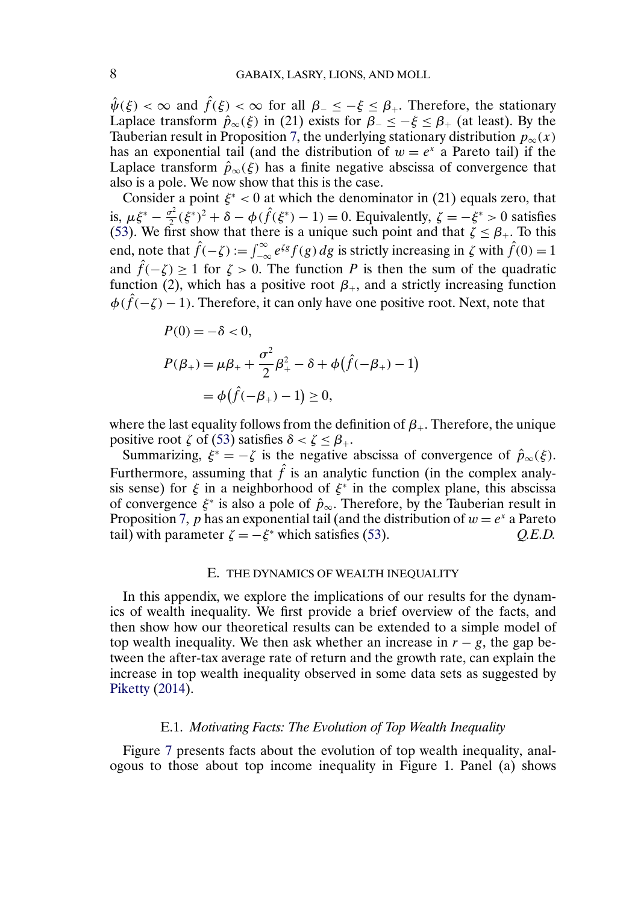<span id="page-7-0"></span> $\hat{\psi}(\xi) < \infty$  and  $\hat{f}(\xi) < \infty$  for all  $\beta_- \le -\xi \le \beta_+$ . Therefore, the stationary Laplace transform  $\hat{p}_{\infty}(\xi)$  in (21) exists for  $\beta_{-} \leq -\xi \leq \beta_{+}$  (at least). By the Tauberian result in Proposition [7,](#page-6-0) the underlying stationary distribution  $p_{\infty}(x)$ has an exponential tail (and the distribution of  $w = e^x$  a Pareto tail) if the Laplace transform  $\hat{p}_{\infty}(\xi)$  has a finite negative abscissa of convergence that also is a pole. We now show that this is the case.

Consider a point  $\xi^*$  < 0 at which the denominator in (21) equals zero, that is,  $\mu \xi^* - \frac{\sigma^2}{2} (\xi^*)^2 + \delta - \phi (\hat{f}(\xi^*) - 1) = 0$ . Equivalently,  $\zeta = -\xi^* > 0$  satisfies [\(53\)](#page-6-0). We first show that there is a unique such point and that  $\zeta \leq \beta_+$ . To this end, note that  $\hat{f}(-\zeta) := \int_{-\infty}^{\infty} e^{\zeta g} f(g) dg$  is strictly increasing in  $\zeta$  with  $\hat{f}(0) = 1$ and  $\hat{f}(-\zeta) \ge 1$  for  $\zeta > 0$ . The function P is then the sum of the quadratic function (2), which has a positive root  $\beta_+$ , and a strictly increasing function  $\phi(\hat{f}(-\zeta)-1)$ . Therefore, it can only have one positive root. Next, note that

$$
P(0) = -\delta < 0,
$$
\n
$$
P(\beta_+) = \mu \beta_+ + \frac{\sigma^2}{2} \beta_+^2 - \delta + \phi(\hat{f}(-\beta_+) - 1)
$$
\n
$$
= \phi(\hat{f}(-\beta_+) - 1) \ge 0,
$$

where the last equality follows from the definition of  $\beta_{+}$ . Therefore, the unique positive root  $\zeta$  of [\(53\)](#page-6-0) satisfies  $\delta < \zeta \leq \beta_+$ .

Summarizing,  $\xi^* = -\zeta$  is the negative abscissa of convergence of  $\hat{p}_{\infty}(\xi)$ . Furthermore, assuming that  $\hat{f}$  is an analytic function (in the complex analysis sense) for  $\xi$  in a neighborhood of  $\xi^*$  in the complex plane, this abscissa of convergence  $\xi^*$  is also a pole of  $\hat{p}_{\infty}$ . Therefore, by the Tauberian result in Proposition [7,](#page-6-0) p has an exponential tail (and the distribution of  $w = e^x$  a Pareto tail) with parameter  $\zeta = -\xi^*$  which satisfies [\(53\)](#page-6-0).  $Q.E.D.$ 

## E. THE DYNAMICS OF WEALTH INEQUALITY

In this appendix, we explore the implications of our results for the dynamics of wealth inequality. We first provide a brief overview of the facts, and then show how our theoretical results can be extended to a simple model of top wealth inequality. We then ask whether an increase in  $r - g$ , the gap between the after-tax average rate of return and the growth rate, can explain the increase in top wealth inequality observed in some data sets as suggested by [Piketty](#page-38-0) [\(2014\)](#page-38-0).

## E.1. *Motivating Facts: The Evolution of Top Wealth Inequality*

Figure [7](#page-8-0) presents facts about the evolution of top wealth inequality, analogous to those about top income inequality in Figure 1. Panel (a) shows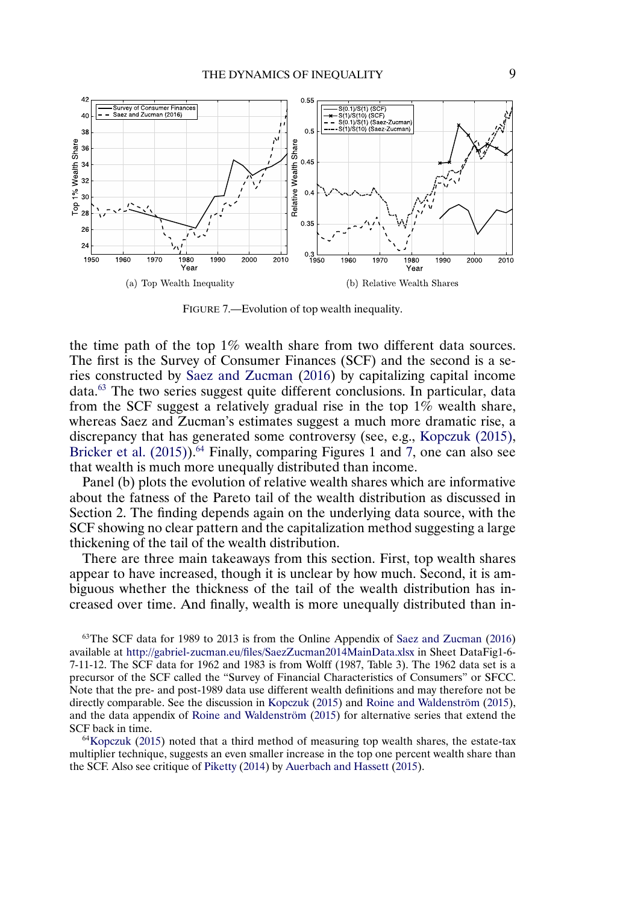<span id="page-8-0"></span>

FIGURE 7.—Evolution of top wealth inequality.

the time path of the top 1% wealth share from two different data sources. The first is the Survey of Consumer Finances (SCF) and the second is a series constructed by [Saez and Zucman](#page-38-0) [\(2016\)](#page-38-0) by capitalizing capital income data.63 The two series suggest quite different conclusions. In particular, data from the SCF suggest a relatively gradual rise in the top  $1\%$  wealth share, whereas Saez and Zucman's estimates suggest a much more dramatic rise, a discrepancy that has generated some controversy (see, e.g., [Kopczuk \(2015\),](#page-38-0) Bricker et al.  $(2015)$ <sup>64</sup> Finally, comparing Figures 1 and 7, one can also see that wealth is much more unequally distributed than income.

Panel (b) plots the evolution of relative wealth shares which are informative about the fatness of the Pareto tail of the wealth distribution as discussed in Section 2. The finding depends again on the underlying data source, with the SCF showing no clear pattern and the capitalization method suggesting a large thickening of the tail of the wealth distribution.

There are three main takeaways from this section. First, top wealth shares appear to have increased, though it is unclear by how much. Second, it is ambiguous whether the thickness of the tail of the wealth distribution has increased over time. And finally, wealth is more unequally distributed than in-

<sup>63</sup>The SCF data for 1989 to 2013 is from the Online Appendix of [Saez and Zucman](#page-38-0) [\(2016\)](#page-38-0) available at <http://gabriel-zucman.eu/files/SaezZucman2014MainData.xlsx> in Sheet DataFig1-6- 7-11-12. The SCF data for 1962 and 1983 is from Wolff (1987, Table 3). The 1962 data set is a precursor of the SCF called the "Survey of Financial Characteristics of Consumers" or SFCC. Note that the pre- and post-1989 data use different wealth definitions and may therefore not be directly comparable. See the discussion in [Kopczuk](#page-38-0) [\(2015\)](#page-38-0) and [Roine and Waldenström](#page-38-0) [\(2015\)](#page-38-0), and the data appendix of [Roine and Waldenström](#page-38-0) [\(2015\)](#page-38-0) for alternative series that extend the SCF back in time.

 $64$ Kopczuk [\(2015\)](#page-38-0) noted that a third method of measuring top wealth shares, the estate-tax multiplier technique, suggests an even smaller increase in the top one percent wealth share than the SCF. Also see critique of [Piketty](#page-38-0) [\(2014\)](#page-38-0) by [Auerbach and Hassett](#page-37-0) [\(2015\)](#page-37-0).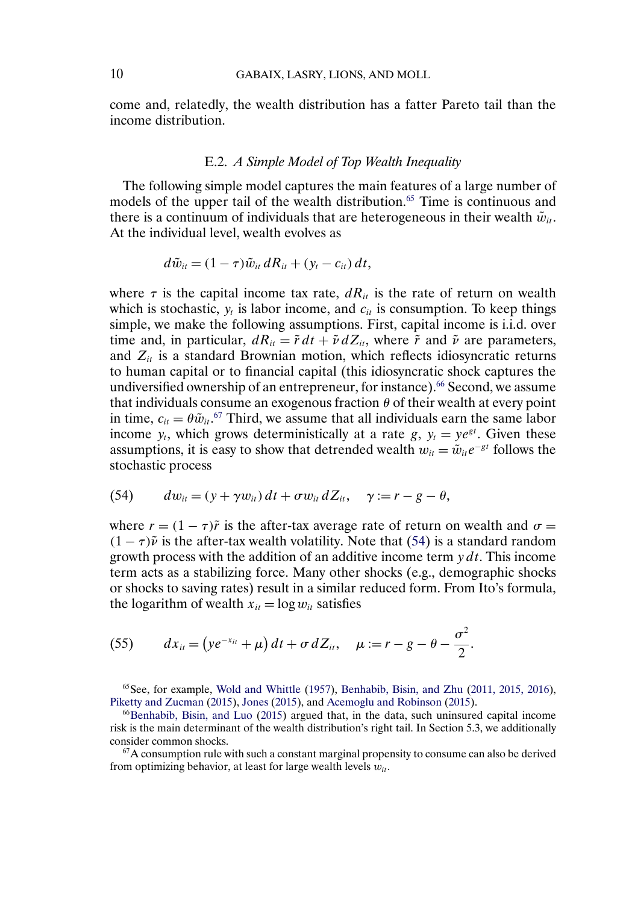<span id="page-9-0"></span>come and, relatedly, the wealth distribution has a fatter Pareto tail than the income distribution.

## E.2. *A Simple Model of Top Wealth Inequality*

The following simple model captures the main features of a large number of models of the upper tail of the wealth distribution.<sup>65</sup> Time is continuous and there is a continuum of individuals that are heterogeneous in their wealth  $\tilde{w}_{it}$ . At the individual level, wealth evolves as

$$
d\tilde{w}_{it} = (1-\tau)\tilde{w}_{it} dR_{it} + (y_t - c_{it}) dt,
$$

where  $\tau$  is the capital income tax rate,  $dR_{it}$  is the rate of return on wealth which is stochastic,  $y_t$  is labor income, and  $c_{it}$  is consumption. To keep things simple, we make the following assumptions. First, capital income is i.i.d. over time and, in particular,  $dR_{it} = \tilde{r} dt + \tilde{v} dZ_{it}$ , where  $\tilde{r}$  and  $\tilde{v}$  are parameters, and  $Z_{it}$  is a standard Brownian motion, which reflects idiosyncratic returns to human capital or to financial capital (this idiosyncratic shock captures the undiversified ownership of an entrepreneur, for instance).<sup>66</sup> Second, we assume that individuals consume an exogenous fraction  $\theta$  of their wealth at every point in time,  $c_{it} = \theta \tilde{w}_{it}$ .<sup>67</sup> Third, we assume that all individuals earn the same labor income  $y_t$ , which grows deterministically at a rate g,  $y_t = ye^{gt}$ . Given these assumptions, it is easy to show that detrended wealth  $w_{it} = \tilde{w}_{it}e^{-gt}$  follows the stochastic process

(54) 
$$
dw_{it} = (y + \gamma w_{it}) dt + \sigma w_{it} dZ_{it}, \quad \gamma := r - g - \theta,
$$

where  $r = (1 - \tau)\tilde{r}$  is the after-tax average rate of return on wealth and  $\sigma =$  $(1 - \tau)\tilde{\nu}$  is the after-tax wealth volatility. Note that (54) is a standard random growth process with the addition of an additive income term  $y \, dt$ . This income term acts as a stabilizing force. Many other shocks (e.g., demographic shocks or shocks to saving rates) result in a similar reduced form. From Ito's formula, the logarithm of wealth  $x_{it} = \log w_{it}$  satisfies

(55) 
$$
dx_{it} = (ye^{-x_{it}} + \mu) dt + \sigma dZ_{it}, \quad \mu := r - g - \theta - \frac{\sigma^2}{2}.
$$

 $^{65}$ See, for example, [Wold and Whittle](#page-38-0) [\(1957\)](#page-38-0), [Benhabib, Bisin, and Zhu](#page-37-0) [\(2011, 2015, 2016\)](#page-37-0), [Piketty and Zucman](#page-38-0) [\(2015\)](#page-38-0), [Jones](#page-38-0) [\(2015\)](#page-38-0), and [Acemoglu and Robinson](#page-37-0) [\(2015\)](#page-37-0).

 $66$ Benhabib, Bisin, and Luo [\(2015\)](#page-37-0) argued that, in the data, such uninsured capital income risk is the main determinant of the wealth distribution's right tail. In Section 5.3, we additionally consider common shocks.

 $67$ A consumption rule with such a constant marginal propensity to consume can also be derived from optimizing behavior, at least for large wealth levels  $w_{it}$ .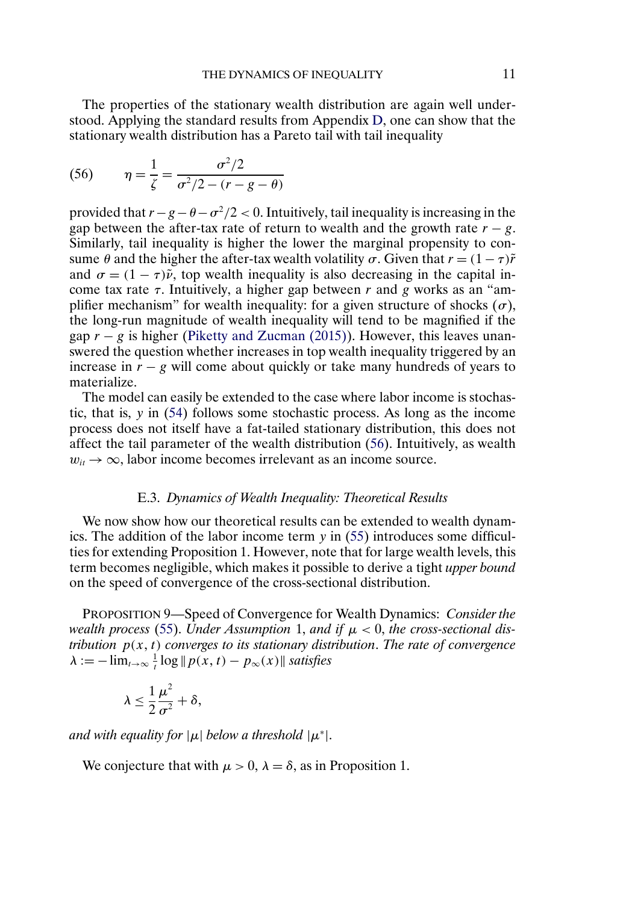<span id="page-10-0"></span>The properties of the stationary wealth distribution are again well understood. Applying the standard results from Appendix [D,](#page-1-0) one can show that the stationary wealth distribution has a Pareto tail with tail inequality

(56) 
$$
\eta = \frac{1}{\zeta} = \frac{\sigma^2/2}{\sigma^2/2 - (r - g - \theta)}
$$

provided that  $r - g - \theta - \sigma^2/2 < 0$ . Intuitively, tail inequality is increasing in the gap between the after-tax rate of return to wealth and the growth rate  $r - g$ . Similarly, tail inequality is higher the lower the marginal propensity to consume  $\theta$  and the higher the after-tax wealth volatility  $\sigma$ . Given that  $r = (1 - \tau)\tilde{r}$ and  $\sigma = (1 - \tau)\tilde{\nu}$ , top wealth inequality is also decreasing in the capital income tax rate  $τ$ . Intuitively, a higher gap between  $r$  and  $g$  works as an "amplifier mechanism" for wealth inequality: for a given structure of shocks  $(\sigma)$ , the long-run magnitude of wealth inequality will tend to be magnified if the gap  $r - g$  is higher [\(Piketty and Zucman \(2015\)\)](#page-38-0). However, this leaves unanswered the question whether increases in top wealth inequality triggered by an increase in  $r - g$  will come about quickly or take many hundreds of years to materialize.

The model can easily be extended to the case where labor income is stochastic, that is, y in [\(54\)](#page-9-0) follows some stochastic process. As long as the income process does not itself have a fat-tailed stationary distribution, this does not affect the tail parameter of the wealth distribution (56). Intuitively, as wealth  $w_{it} \rightarrow \infty$ , labor income becomes irrelevant as an income source.

## E.3. *Dynamics of Wealth Inequality: Theoretical Results*

We now show how our theoretical results can be extended to wealth dynamics. The addition of the labor income term y in [\(55\)](#page-9-0) introduces some difficulties for extending Proposition 1. However, note that for large wealth levels, this term becomes negligible, which makes it possible to derive a tight *upper bound* on the speed of convergence of the cross-sectional distribution.

PROPOSITION 9—Speed of Convergence for Wealth Dynamics: *Consider the wealth process* [\(55\)](#page-9-0). *Under Assumption* 1, *and if*  $\mu < 0$ , *the cross-sectional distribution*  $p(x, t)$  *converges to its stationary distribution. The rate of convergence*  $\lambda := -\lim_{t\to\infty} \frac{1}{t} \log ||p(x, t) - p_{\infty}(x)||$  *satisfies* 

$$
\lambda \leq \frac{1}{2} \frac{\mu^2}{\sigma^2} + \delta,
$$

*and with equality for*  $|\mu|$  *below a threshold*  $|\mu^*|$ *.* 

We conjecture that with  $\mu > 0$ ,  $\lambda = \delta$ , as in Proposition 1.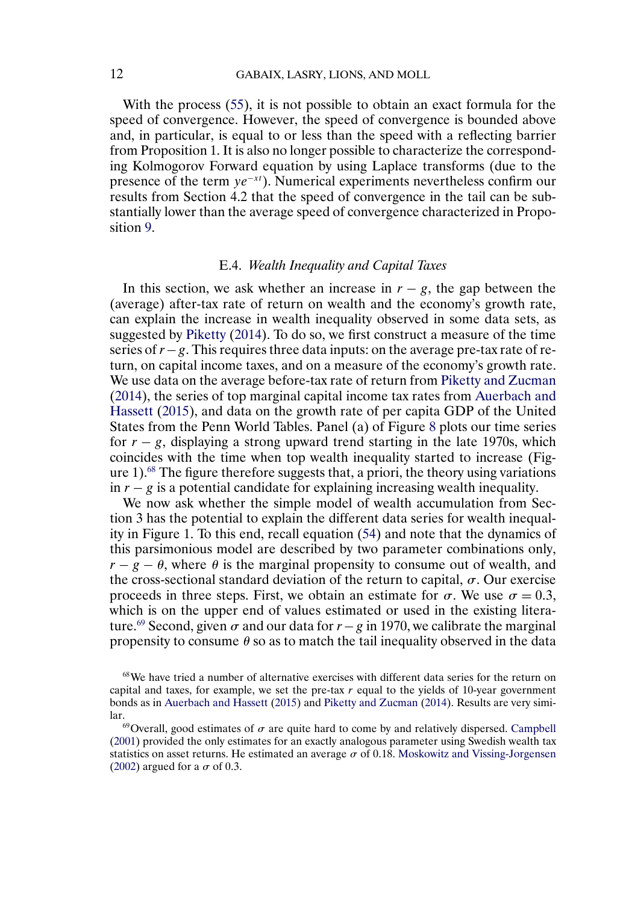<span id="page-11-0"></span>With the process [\(55\)](#page-9-0), it is not possible to obtain an exact formula for the speed of convergence. However, the speed of convergence is bounded above and, in particular, is equal to or less than the speed with a reflecting barrier from Proposition 1. It is also no longer possible to characterize the corresponding Kolmogorov Forward equation by using Laplace transforms (due to the presence of the term  $ye^{-xt}$ ). Numerical experiments nevertheless confirm our results from Section 4.2 that the speed of convergence in the tail can be substantially lower than the average speed of convergence characterized in Proposition [9.](#page-10-0)

# E.4. *Wealth Inequality and Capital Taxes*

In this section, we ask whether an increase in  $r - g$ , the gap between the (average) after-tax rate of return on wealth and the economy's growth rate, can explain the increase in wealth inequality observed in some data sets, as suggested by [Piketty](#page-38-0) [\(2014\)](#page-38-0). To do so, we first construct a measure of the time series of r−g. This requires three data inputs: on the average pre-tax rate of return, on capital income taxes, and on a measure of the economy's growth rate. We use data on the average before-tax rate of return from [Piketty and Zucman](#page-38-0) [\(2014\)](#page-38-0), the series of top marginal capital income tax rates from [Auerbach and](#page-37-0) [Hassett](#page-37-0) [\(2015\)](#page-37-0), and data on the growth rate of per capita GDP of the United States from the Penn World Tables. Panel (a) of Figure [8](#page-12-0) plots our time series for  $r - g$ , displaying a strong upward trend starting in the late 1970s, which coincides with the time when top wealth inequality started to increase (Figure 1).68 The figure therefore suggests that, a priori, the theory using variations in  $r - g$  is a potential candidate for explaining increasing wealth inequality.

We now ask whether the simple model of wealth accumulation from Section 3 has the potential to explain the different data series for wealth inequality in Figure 1. To this end, recall equation [\(54\)](#page-9-0) and note that the dynamics of this parsimonious model are described by two parameter combinations only,  $r - g - \theta$ , where  $\theta$  is the marginal propensity to consume out of wealth, and the cross-sectional standard deviation of the return to capital,  $\sigma$ . Our exercise proceeds in three steps. First, we obtain an estimate for  $\sigma$ . We use  $\sigma = 0.3$ , which is on the upper end of values estimated or used in the existing literature.<sup>69</sup> Second, given  $\sigma$  and our data for  $r - g$  in 1970, we calibrate the marginal propensity to consume  $\theta$  so as to match the tail inequality observed in the data

<sup>&</sup>lt;sup>68</sup>We have tried a number of alternative exercises with different data series for the return on capital and taxes, for example, we set the pre-tax  $r$  equal to the yields of 10-year government bonds as in [Auerbach and Hassett](#page-37-0) [\(2015\)](#page-37-0) and [Piketty and Zucman](#page-38-0) [\(2014\)](#page-38-0). Results are very similar.<br><sup>69</sup>Overall, good estimates of  $\sigma$  are quite hard to come by and relatively dispersed. [Campbell](#page-37-0)

[<sup>\(2001\)</sup>](#page-37-0) provided the only estimates for an exactly analogous parameter using Swedish wealth tax statistics on asset returns. He estimated an average  $\sigma$  of 0.18. [Moskowitz and Vissing-Jorgensen](#page-38-0) [\(2002\)](#page-38-0) argued for a  $\sigma$  of 0.3.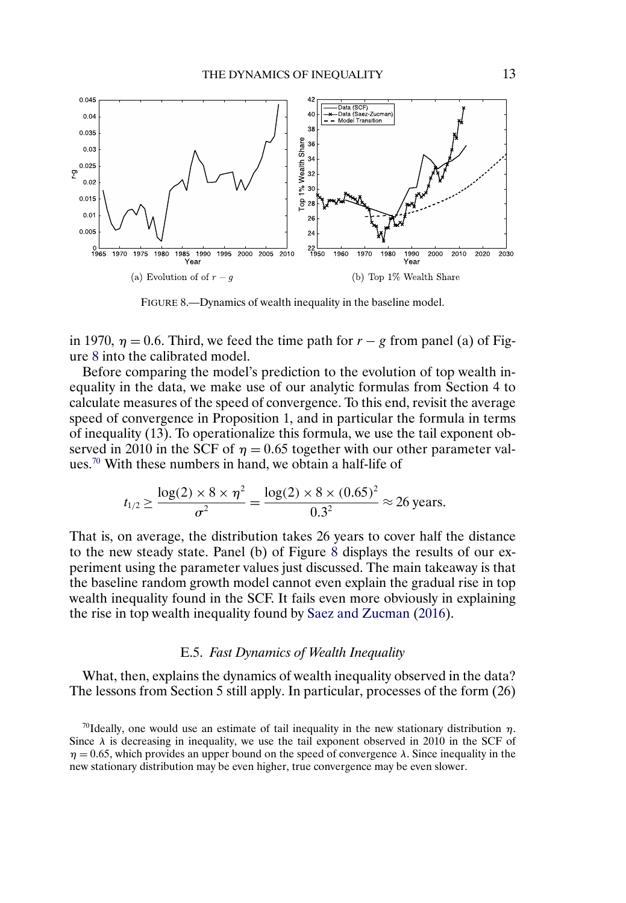<span id="page-12-0"></span>

FIGURE 8.—Dynamics of wealth inequality in the baseline model.

in 1970,  $\eta = 0.6$ . Third, we feed the time path for  $r - g$  from panel (a) of Figure 8 into the calibrated model.

Before comparing the model's prediction to the evolution of top wealth inequality in the data, we make use of our analytic formulas from Section 4 to calculate measures of the speed of convergence. To this end, revisit the average speed of convergence in Proposition 1, and in particular the formula in terms of inequality (13). To operationalize this formula, we use the tail exponent observed in 2010 in the SCF of  $\eta = 0.65$  together with our other parameter values.70 With these numbers in hand, we obtain a half-life of

$$
t_{1/2} \ge \frac{\log(2) \times 8 \times \eta^2}{\sigma^2} = \frac{\log(2) \times 8 \times (0.65)^2}{0.3^2} \approx 26 \text{ years.}
$$

That is, on average, the distribution takes 26 years to cover half the distance to the new steady state. Panel (b) of Figure 8 displays the results of our experiment using the parameter values just discussed. The main takeaway is that the baseline random growth model cannot even explain the gradual rise in top wealth inequality found in the SCF. It fails even more obviously in explaining the rise in top wealth inequality found by [Saez and Zucman](#page-38-0) [\(2016\)](#page-38-0).

## E.5. *Fast Dynamics of Wealth Inequality*

What, then, explains the dynamics of wealth inequality observed in the data? The lessons from Section 5 still apply. In particular, processes of the form (26)

<sup>&</sup>lt;sup>70</sup>Ideally, one would use an estimate of tail inequality in the new stationary distribution  $\eta$ . Since  $\lambda$  is decreasing in inequality, we use the tail exponent observed in 2010 in the SCF of  $\eta = 0.65$ , which provides an upper bound on the speed of convergence  $\lambda$ . Since inequality in the new stationary distribution may be even higher, true convergence may be even slower.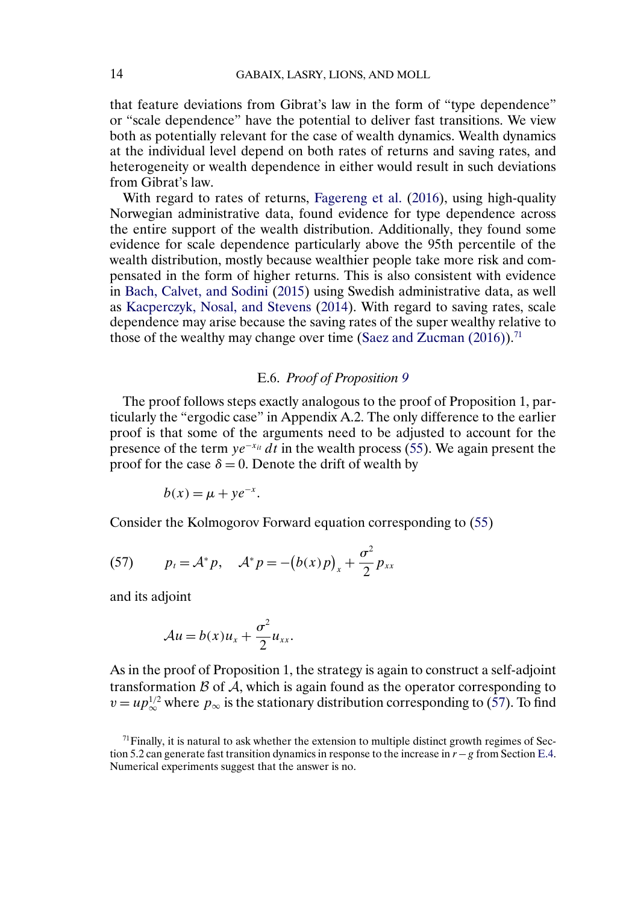<span id="page-13-0"></span>that feature deviations from Gibrat's law in the form of "type dependence" or "scale dependence" have the potential to deliver fast transitions. We view both as potentially relevant for the case of wealth dynamics. Wealth dynamics at the individual level depend on both rates of returns and saving rates, and heterogeneity or wealth dependence in either would result in such deviations from Gibrat's law.

With regard to rates of returns, [Fagereng et al.](#page-37-0) [\(2016\)](#page-37-0), using high-quality Norwegian administrative data, found evidence for type dependence across the entire support of the wealth distribution. Additionally, they found some evidence for scale dependence particularly above the 95th percentile of the wealth distribution, mostly because wealthier people take more risk and compensated in the form of higher returns. This is also consistent with evidence in [Bach, Calvet, and Sodini](#page-37-0) [\(2015\)](#page-37-0) using Swedish administrative data, as well as [Kacperczyk, Nosal, and Stevens](#page-38-0) [\(2014\)](#page-38-0). With regard to saving rates, scale dependence may arise because the saving rates of the super wealthy relative to those of the wealthy may change over time (Saez and Zucman  $(2016)$ ).<sup>71</sup>

# E.6. *Proof of Proposition [9](#page-10-0)*

The proof follows steps exactly analogous to the proof of Proposition 1, particularly the "ergodic case" in Appendix A.2. The only difference to the earlier proof is that some of the arguments need to be adjusted to account for the presence of the term  $ye^{-x_{it}} dt$  in the wealth process [\(55\)](#page-9-0). We again present the proof for the case  $\delta = 0$ . Denote the drift of wealth by

$$
b(x) = \mu + ye^{-x}.
$$

Consider the Kolmogorov Forward equation corresponding to [\(55\)](#page-9-0)

(57) 
$$
p_t = A^* p, \quad A^* p = -(b(x)p)_x + \frac{\sigma^2}{2} p_{xx}
$$

and its adjoint

$$
\mathcal{A}u = b(x)u_x + \frac{\sigma^2}{2}u_{xx}.
$$

As in the proof of Proposition 1, the strategy is again to construct a self-adjoint transformation  $B$  of  $A$ , which is again found as the operator corresponding to  $v = up_{\infty}^{1/2}$  where  $p_{\infty}$  is the stationary distribution corresponding to (57). To find

 $71$  Finally, it is natural to ask whether the extension to multiple distinct growth regimes of Section 5.2 can generate fast transition dynamics in response to the increase in  $r - g$  from Section [E.4.](#page-11-0) Numerical experiments suggest that the answer is no.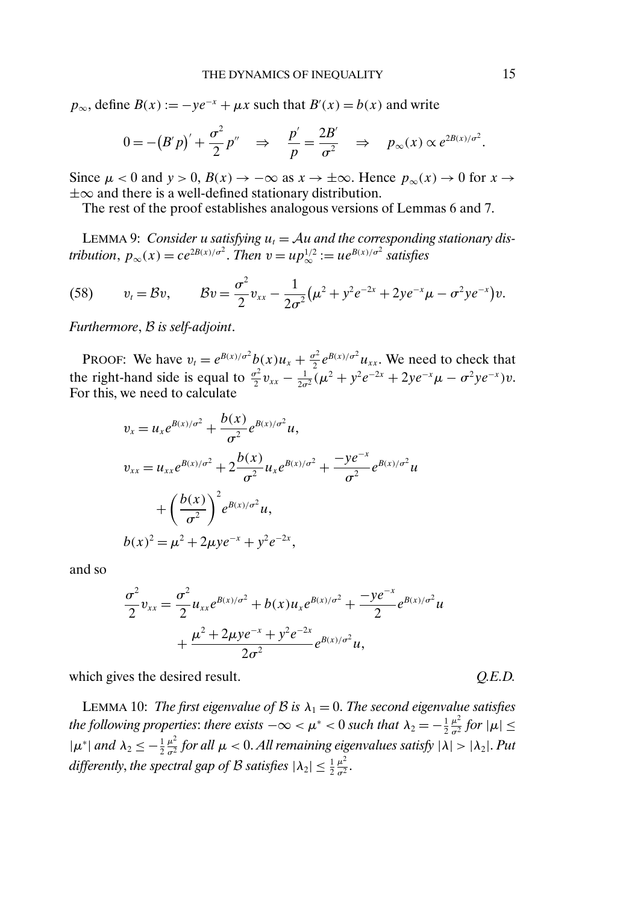$p_{\infty}$ , define  $B(x) := -ye^{-x} + \mu x$  such that  $B'(x) = b(x)$  and write

$$
0 = -(B'p)' + \frac{\sigma^2}{2}p'' \quad \Rightarrow \quad \frac{p'}{p} = \frac{2B'}{\sigma^2} \quad \Rightarrow \quad p_{\infty}(x) \propto e^{2B(x)/\sigma^2}.
$$

Since  $\mu < 0$  and  $y > 0$ ,  $B(x) \to -\infty$  as  $x \to \pm \infty$ . Hence  $p_{\infty}(x) \to 0$  for  $x \to \infty$  $\pm\infty$  and there is a well-defined stationary distribution.

The rest of the proof establishes analogous versions of Lemmas 6 and 7.

LEMMA 9: *Consider u satisfying*  $u_t = Au$  *and the corresponding stationary distribution,*  $p_{\infty}(x) = ce^{2B(x)/\sigma^2}$ . *Then*  $v = up_{\infty}^{1/2} := ue^{B(x)/\sigma^2}$  *satisfies* 

(58) 
$$
v_t = \mathcal{B}v, \qquad \mathcal{B}v = \frac{\sigma^2}{2}v_{xx} - \frac{1}{2\sigma^2}(\mu^2 + y^2 e^{-2x} + 2ye^{-x}\mu - \sigma^2 y e^{-x})v.
$$

*Furthermore*, B *is self-adjoint*.

PROOF: We have  $v_t = e^{B(x)/\sigma^2} b(x) u_x + \frac{\sigma^2}{2} e^{B(x)/\sigma^2} u_{xx}$ . We need to check that the right-hand side is equal to  $\frac{\sigma^2}{2}v_{xx} - \frac{1}{2\sigma^2}(\mu^2 + y^2 e^{-2x} + 2ye^{-x}\mu - \sigma^2 ye^{-x})v$ . For this, we need to calculate

$$
v_x = u_x e^{B(x)/\sigma^2} + \frac{b(x)}{\sigma^2} e^{B(x)/\sigma^2} u,
$$
  
\n
$$
v_{xx} = u_{xx} e^{B(x)/\sigma^2} + 2 \frac{b(x)}{\sigma^2} u_x e^{B(x)/\sigma^2} + \frac{-ye^{-x}}{\sigma^2} e^{B(x)/\sigma^2} u
$$
  
\n
$$
+ \left(\frac{b(x)}{\sigma^2}\right)^2 e^{B(x)/\sigma^2} u,
$$
  
\n
$$
b(x)^2 = \mu^2 + 2\mu y e^{-x} + y^2 e^{-2x},
$$

and so

$$
\frac{\sigma^2}{2}v_{xx} = \frac{\sigma^2}{2}u_{xx}e^{B(x)/\sigma^2} + b(x)u_xe^{B(x)/\sigma^2} + \frac{-ye^{-x}}{2}e^{B(x)/\sigma^2}u + \frac{\mu^2 + 2\mu ye^{-x} + y^2e^{-2x}}{2\sigma^2}e^{B(x)/\sigma^2}u,
$$

which gives the desired result.  $Q.E.D.$ 

LEMMA 10: *The first eigenvalue of B is*  $\lambda_1 = 0$ . *The second eigenvalue satisfies the following properties: there exists*  $-\infty < \mu^* < 0$  *such that*  $\lambda_2 = -\frac{1}{2}$  $\frac{\mu^2}{\sigma^2}$  for  $|\mu| \leq$  $|\mu^*|$  *and*  $\lambda_2 \leq -\frac{1}{2}$  $\frac{\mu^2}{\sigma^2}$  for all  $\mu < 0$ . All remaining eigenvalues satisfy  $|\lambda| > |\lambda_2|$ . Put differently, the spectral gap of  $\mathcal B$  satisfies  $|\lambda_2|\leq \frac{1}{2}$  $rac{\mu^2}{\sigma^2}$ .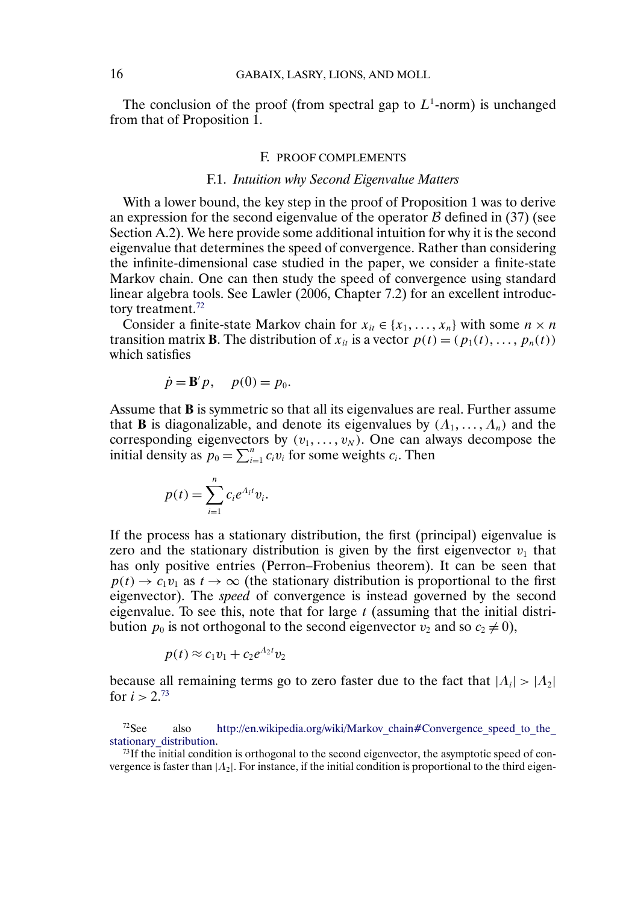<span id="page-15-0"></span>The conclusion of the proof (from spectral gap to  $L^1$ -norm) is unchanged from that of Proposition 1.

## F. PROOF COMPLEMENTS

# F.1. *Intuition why Second Eigenvalue Matters*

With a lower bound, the key step in the proof of Proposition 1 was to derive an expression for the second eigenvalue of the operator  $\beta$  defined in (37) (see Section A.2). We here provide some additional intuition for why it is the second eigenvalue that determines the speed of convergence. Rather than considering the infinite-dimensional case studied in the paper, we consider a finite-state Markov chain. One can then study the speed of convergence using standard linear algebra tools. See Lawler (2006, Chapter 7.2) for an excellent introductory treatment.<sup>72</sup>

Consider a finite-state Markov chain for  $x_{it} \in \{x_1, \ldots, x_n\}$  with some  $n \times n$ transition matrix **B**. The distribution of  $x_{it}$  is a vector  $p(t) = (p_1(t), \ldots, p_n(t))$ which satisfies

$$
\dot{p} = \mathbf{B}'p, \quad p(0) = p_0.
$$

Assume that **B** is symmetric so that all its eigenvalues are real. Further assume that **B** is diagonalizable, and denote its eigenvalues by  $(A_1, \ldots, A_n)$  and the corresponding eigenvectors by  $(v_1,\ldots,v_N)$ . One can always decompose the initial density as  $p_0 = \sum_{i=1}^n c_i v_i$  for some weights  $c_i$ . Then

$$
p(t) = \sum_{i=1}^n c_i e^{\Lambda_i t} v_i.
$$

If the process has a stationary distribution, the first (principal) eigenvalue is zero and the stationary distribution is given by the first eigenvector  $v_1$  that has only positive entries (Perron–Frobenius theorem). It can be seen that  $p(t) \rightarrow c_1v_1$  as  $t \rightarrow \infty$  (the stationary distribution is proportional to the first eigenvector). The *speed* of convergence is instead governed by the second eigenvalue. To see this, note that for large  $t$  (assuming that the initial distribution  $p_0$  is not orthogonal to the second eigenvector  $v_2$  and so  $c_2 \neq 0$ ),

$$
p(t) \approx c_1 v_1 + c_2 e^{A_2 t} v_2
$$

because all remaining terms go to zero faster due to the fact that  $|A_i| > |A_2|$ for  $i > 2^{73}$ 

 $^{72}$ See also [http://en.wikipedia.org/wiki/Markov\\_chain#Convergence\\_speed\\_to\\_the\\_](http://en.wikipedia.org/wiki/Markov_chain#Convergence_speed_to_the_stationary_distribution) stationary distribution.

 $73$ If the initial condition is orthogonal to the second eigenvector, the asymptotic speed of convergence is faster than  $|A_2|$ . For instance, if the initial condition is proportional to the third eigen-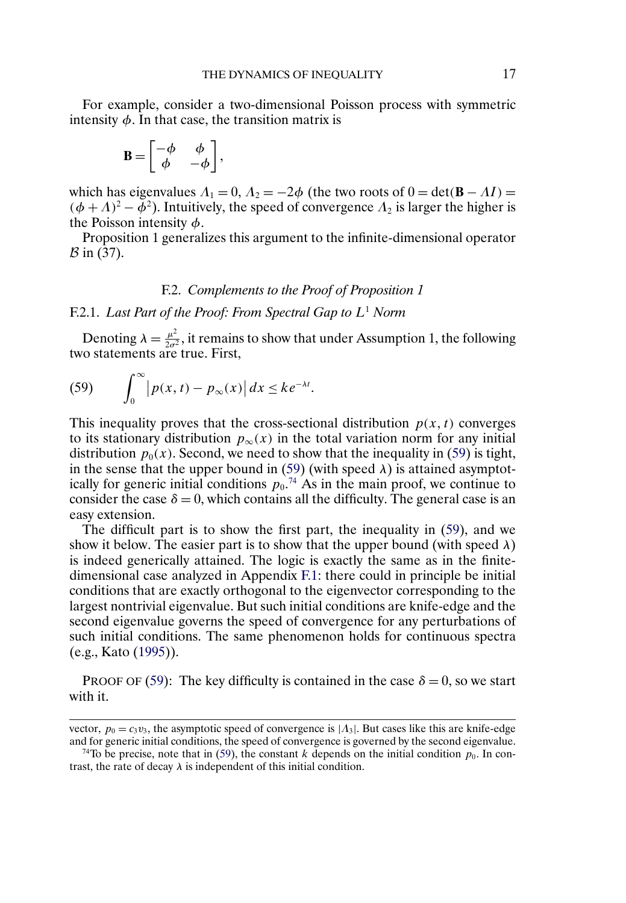<span id="page-16-0"></span>For example, consider a two-dimensional Poisson process with symmetric intensity  $\phi$ . In that case, the transition matrix is

$$
\mathbf{B} = \begin{bmatrix} -\phi & \phi \\ \phi & -\phi \end{bmatrix},
$$

which has eigenvalues  $\Lambda_1 = 0$ ,  $\Lambda_2 = -2\phi$  (the two roots of  $0 = \det(\mathbf{B} - \Lambda I) =$  $(\phi + \Lambda)^2 - \dot{\phi}^2$ ). Intuitively, the speed of convergence  $\Lambda_2$  is larger the higher is the Poisson intensity  $\phi$ .

Proposition 1 generalizes this argument to the infinite-dimensional operator  $\beta$  in (37).

## F.2. *Complements to the Proof of Proposition 1*

## F.2.1. *Last Part of the Proof: From Spectral Gap to* L<sup>1</sup> *Norm*

Denoting  $\lambda = \frac{\mu^2}{2\sigma^2}$ , it remains to show that under Assumption 1, the following two statements are true. First,

(59) 
$$
\int_0^\infty \left|p(x,t)-p_\infty(x)\right|dx \leq ke^{-\lambda t}.
$$

This inequality proves that the cross-sectional distribution  $p(x, t)$  converges to its stationary distribution  $p_{\infty}(x)$  in the total variation norm for any initial distribution  $p_0(x)$ . Second, we need to show that the inequality in (59) is tight, in the sense that the upper bound in (59) (with speed  $\lambda$ ) is attained asymptotically for generic initial conditions  $p_0$ .<sup>74</sup> As in the main proof, we continue to consider the case  $\delta = 0$ , which contains all the difficulty. The general case is an easy extension.

The difficult part is to show the first part, the inequality in (59), and we show it below. The easier part is to show that the upper bound (with speed  $\lambda$ ) is indeed generically attained. The logic is exactly the same as in the finitedimensional case analyzed in Appendix [F.1](#page-15-0): there could in principle be initial conditions that are exactly orthogonal to the eigenvector corresponding to the largest nontrivial eigenvalue. But such initial conditions are knife-edge and the second eigenvalue governs the speed of convergence for any perturbations of such initial conditions. The same phenomenon holds for continuous spectra (e.g., Kato [\(1995\)](#page-38-0)).

PROOF OF (59): The key difficulty is contained in the case  $\delta = 0$ , so we start with it.

vector,  $p_0 = c_3v_3$ , the asymptotic speed of convergence is  $|A_3|$ . But cases like this are knife-edge and for generic initial conditions, the speed of convergence is governed by the second eigenvalue.

<sup>&</sup>lt;sup>74</sup>To be precise, note that in (59), the constant k depends on the initial condition  $p_0$ . In contrast, the rate of decay  $\lambda$  is independent of this initial condition.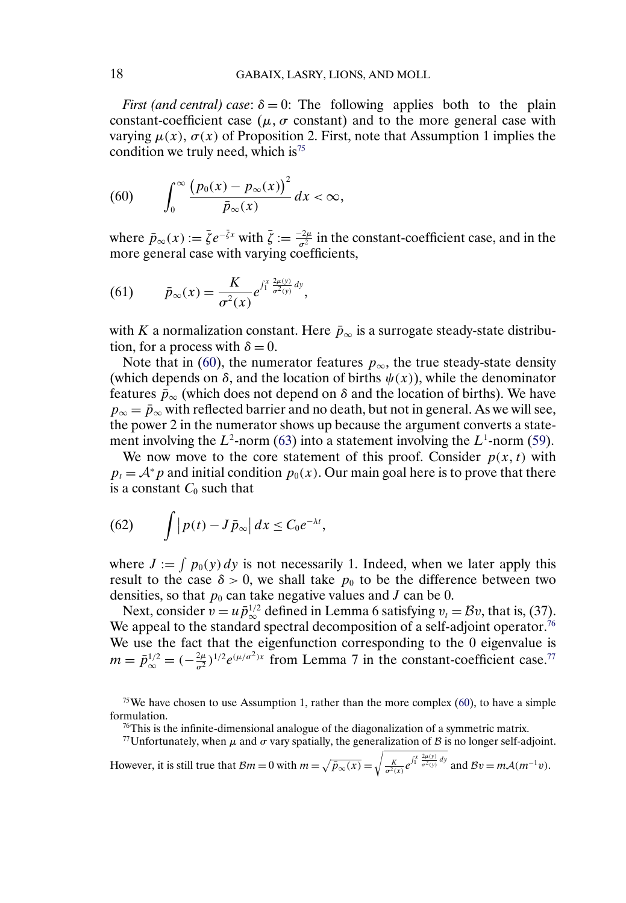<span id="page-17-0"></span>*First (and central) case:*  $\delta = 0$ : The following applies both to the plain constant-coefficient case ( $\mu$ ,  $\sigma$  constant) and to the more general case with varying  $\mu(x)$ ,  $\sigma(x)$  of Proposition 2. First, note that Assumption 1 implies the condition we truly need, which is<sup>75</sup>

$$
(60) \qquad \int_0^\infty \frac{\left(p_0(x) - p_\infty(x)\right)^2}{\bar{p}_\infty(x)} dx < \infty,
$$

where  $\bar{p}_{\infty}(x) := \bar{\zeta}e^{-\bar{\zeta}x}$  with  $\bar{\zeta} := \frac{-2\mu}{\sigma^2}$  in the constant-coefficient case, and in the more general case with varying coefficients,

(61) 
$$
\bar{p}_{\infty}(x) = \frac{K}{\sigma^2(x)} e^{\int_1^x \frac{2\mu(y)}{\sigma^2(y)} dy},
$$

with K a normalization constant. Here  $\bar{p}_{\infty}$  is a surrogate steady-state distribution, for a process with  $\delta = 0$ .

Note that in (60), the numerator features  $p_{\infty}$ , the true steady-state density (which depends on  $\delta$ , and the location of births  $\psi(x)$ ), while the denominator features  $\bar{p}_{\infty}$  (which does not depend on  $\delta$  and the location of births). We have  $p_{\infty} = \bar{p}_{\infty}$  with reflected barrier and no death, but not in general. As we will see, the power 2 in the numerator shows up because the argument converts a statement involving the  $L^2$ -norm [\(63\)](#page-18-0) into a statement involving the  $L^1$ -norm [\(59\)](#page-16-0).

We now move to the core statement of this proof. Consider  $p(x, t)$  with  $p_t = A^* p$  and initial condition  $p_0(x)$ . Our main goal here is to prove that there is a constant  $C_0$  such that

(62) 
$$
\int |p(t) - J\bar{p}_{\infty}| dx \leq C_0 e^{-\lambda t},
$$

where  $J := \int p_0(y) dy$  is not necessarily 1. Indeed, when we later apply this result to the case  $\delta > 0$ , we shall take  $p_0$  to be the difference between two densities, so that  $p_0$  can take negative values and J can be 0.

Next, consider  $v = u \bar{p}_{\infty}^{1/2}$  defined in Lemma 6 satisfying  $v_t = Bv$ , that is, (37). We appeal to the standard spectral decomposition of a self-adjoint operator.<sup>76</sup> We use the fact that the eigenfunction corresponding to the 0 eigenvalue is  $m = \bar{p}_{\infty}^{1/2} = (-\frac{2\mu}{\sigma^2})^{1/2} e^{(\mu/\sigma^2)x}$  from Lemma 7 in the constant-coefficient case.<sup>77</sup>

 $\frac{76}{10}$ This is the infinite-dimensional analogue of the diagonalization of a symmetric matrix.

<sup>77</sup>Unfortunately, when  $\mu$  and  $\sigma$  vary spatially, the generalization of B is no longer self-adjoint.

However, it is still true that  $\mathcal{B}m = 0$  with  $m = \sqrt{\bar{p}_{\infty}(x)} =$  $\sqrt{\frac{K}{\sigma^2(x)}e^{\int_1^x \frac{2\mu(y)}{\sigma^2(y)}dy}}$  and  $\mathcal{B}v = m\mathcal{A}(m^{-1}v)$ .

<sup>&</sup>lt;sup>75</sup>We have chosen to use Assumption 1, rather than the more complex (60), to have a simple formulation.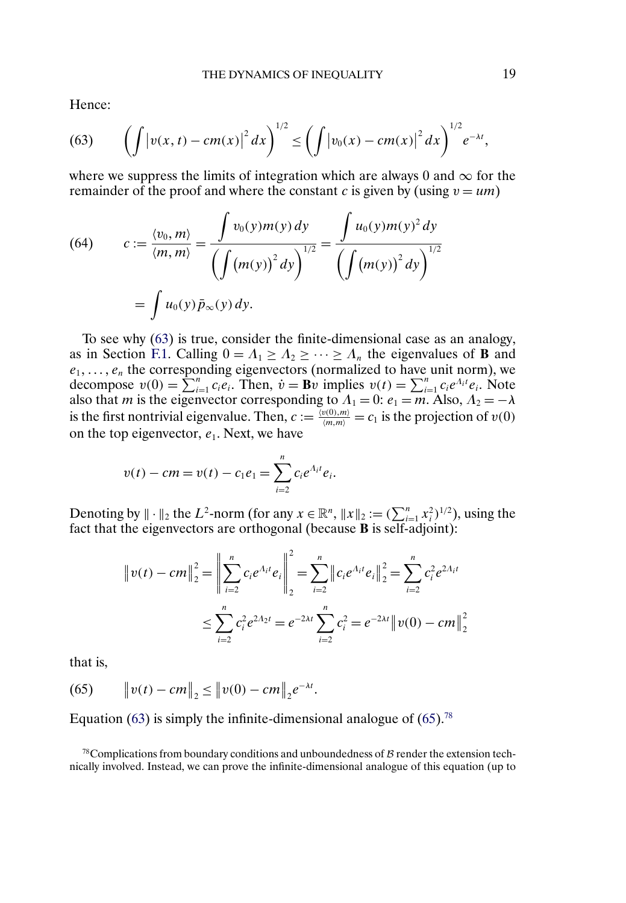<span id="page-18-0"></span>Hence:

(63) 
$$
\left(\int \left|v(x,t)-cm(x)\right|^2 dx\right)^{1/2} \leq \left(\int \left|v_0(x)-cm(x)\right|^2 dx\right)^{1/2}e^{-\lambda t},
$$

where we suppress the limits of integration which are always 0 and  $\infty$  for the remainder of the proof and where the constant c is given by (using  $v = um$ )

(64) 
$$
c := \frac{\langle v_0, m \rangle}{\langle m, m \rangle} = \frac{\int v_0(y)m(y) \, dy}{\left(\int (m(y))^2 \, dy\right)^{1/2}} = \frac{\int u_0(y)m(y)^2 \, dy}{\left(\int (m(y))^2 \, dy\right)^{1/2}}
$$

$$
= \int u_0(y)\,\bar{p}_\infty(y)\, dy.
$$

To see why (63) is true, consider the finite-dimensional case as an analogy, as in Section [F.1](#page-15-0). Calling  $0 = A_1 \ge A_2 \ge \cdots \ge A_n$  the eigenvalues of **B** and  $e_1, \ldots, e_n$  the corresponding eigenvectors (normalized to have unit norm), we decompose  $v(0) = \sum_{i=1}^{n} c_i e_i$ . Then,  $\dot{v} = \mathbf{B} \dot{v}$  implies  $v(t) = \sum_{i=1}^{n} c_i e^{\Lambda_i t} e_i$ . Note also that *m* is the eigenvector corresponding to  $\Lambda_1 = 0$ :  $e_1 = m$ . Also,  $\Lambda_2 = -\lambda$ is the first nontrivial eigenvalue. Then,  $c := \frac{\langle v(0), m \rangle}{\langle m, m \rangle} = c_1$  is the projection of  $v(0)$ on the top eigenvector,  $e_1$ . Next, we have

$$
v(t) - cm = v(t) - c_1 e_1 = \sum_{i=2}^n c_i e^{\Lambda_i t} e_i.
$$

Denoting by  $\|\cdot\|_2$  the  $L^2$ -norm (for any  $x \in \mathbb{R}^n$ ,  $\|x\|_2 := (\sum_{i=1}^n x_i^2)^{1/2}$ ), using the fact that the eigenvectors are orthogonal (because **B** is self-adjoint):

$$
\|v(t) - cm\|_2^2 = \left\|\sum_{i=2}^n c_i e^{A_i t} e_i\right\|_2^2 = \sum_{i=2}^n \|c_i e^{A_i t} e_i\|_2^2 = \sum_{i=2}^n c_i^2 e^{2A_i t}
$$
  

$$
\leq \sum_{i=2}^n c_i^2 e^{2A_2 t} = e^{-2\lambda t} \sum_{i=2}^n c_i^2 = e^{-2\lambda t} \|v(0) - cm\|_2^2
$$

that is,

(65) 
$$
\|v(t) - cm\|_2 \le \|v(0) - cm\|_2 e^{-\lambda t}.
$$

Equation (63) is simply the infinite-dimensional analogue of (65).<sup>78</sup>

 $78$ Complications from boundary conditions and unboundedness of  $\beta$  render the extension technically involved. Instead, we can prove the infinite-dimensional analogue of this equation (up to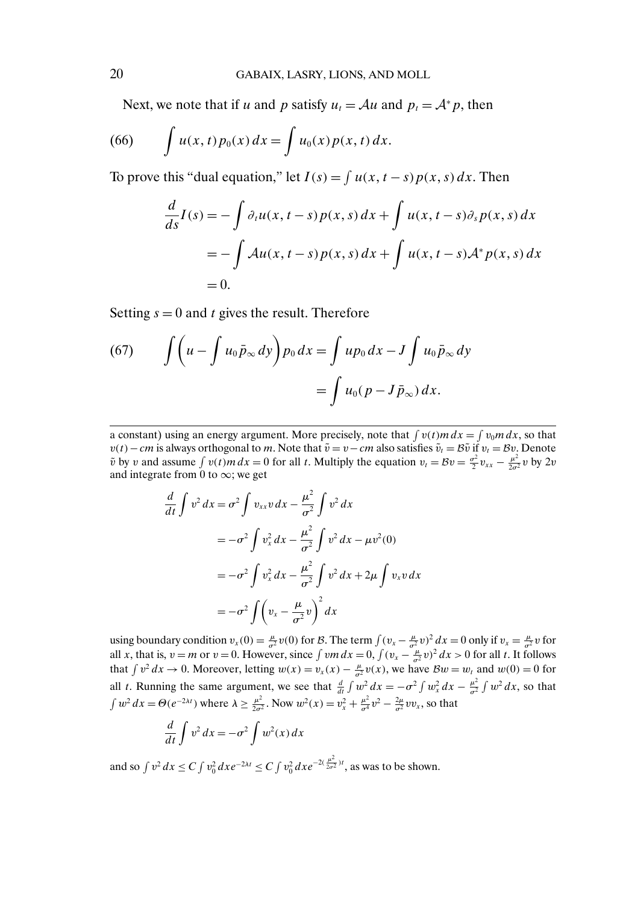<span id="page-19-0"></span>Next, we note that if u and p satisfy  $u_t = Au$  and  $p_t = A^* p$ , then

(66) 
$$
\int u(x, t) p_0(x) dx = \int u_0(x) p(x, t) dx.
$$

To prove this "dual equation," let  $I(s) = \int u(x, t - s) p(x, s) dx$ . Then

$$
\frac{d}{ds}I(s) = -\int \partial_t u(x, t-s) p(x, s) dx + \int u(x, t-s) \partial_s p(x, s) dx
$$

$$
= -\int Au(x, t-s) p(x, s) dx + \int u(x, t-s) A^* p(x, s) dx
$$

$$
= 0.
$$

Setting  $s = 0$  and t gives the result. Therefore

(67) 
$$
\int \left( u - \int u_0 \bar{p}_{\infty} dy \right) p_0 dx = \int u p_0 dx - J \int u_0 \bar{p}_{\infty} dy
$$

$$
= \int u_0 (p - J \bar{p}_{\infty}) dx.
$$

a constant) using an energy argument. More precisely, note that  $\int v(t) m dx = \int v_0 m dx$ , so that  $v(t)$ −cm is always orthogonal to m. Note that  $\tilde{v} = v-cm$  also satisfies  $\tilde{v}_t = B\tilde{v}$  if  $v_t = Bv$ . Denote  $\tilde{v}$  by v and assume  $\int v(t) m dx = 0$  for all t. Multiply the equation  $v_t = Bv = \frac{\sigma^2}{2} v_{xx} - \frac{\mu^2}{2\sigma^2} v$  by  $2v$ and integrate from 0 to  $\infty$ ; we get

$$
\frac{d}{dt} \int v^2 dx = \sigma^2 \int v_{xx} v dx - \frac{\mu^2}{\sigma^2} \int v^2 dx
$$
  

$$
= -\sigma^2 \int v_x^2 dx - \frac{\mu^2}{\sigma^2} \int v^2 dx - \mu v^2(0)
$$
  

$$
= -\sigma^2 \int v_x^2 dx - \frac{\mu^2}{\sigma^2} \int v^2 dx + 2\mu \int v_x v dx
$$
  

$$
= -\sigma^2 \int \left(v_x - \frac{\mu}{\sigma^2} v\right)^2 dx
$$

using boundary condition  $v_x(0) = \frac{\mu}{\sigma^2} v(0)$  for B. The term  $\int (v_x - \frac{\mu}{\sigma^2} v)^2 dx = 0$  only if  $v_x = \frac{\mu}{\sigma^2} v$  for all x, that is,  $v = m$  or  $v = 0$ . However, since  $\int v m dx = 0$ ,  $\int (v_x - \frac{\mu}{\sigma^2} v)^2 dx > 0$  for all t. It follows that  $\int v^2 dx \to 0$ . Moreover, letting  $w(x) = v_x(x) - \frac{\mu}{\sigma^2} v(x)$ , we have  $\mathcal{B}w = w_t$  and  $w(0) = 0$  for all t. Running the same argument, we see that  $\frac{d}{dt} \int w^2 dx = -\sigma^2 \int w_x^2 dx - \frac{\mu^2}{\sigma^2} \int w^2 dx$ , so that  $\int w^2 dx = \Theta(e^{-2\lambda t})$  where  $\lambda \ge \frac{\mu^2}{2\sigma^2}$ . Now  $w^2(x) = v_x^2 + \frac{\mu^2}{\sigma^2}v^2 - \frac{2\mu}{\sigma^2}vv_x$ , so that

$$
\frac{d}{dt} \int v^2 dx = -\sigma^2 \int w^2(x) dx
$$

and so  $\int v^2 dx \le C \int v_0^2 dx e^{-2\lambda t} \le C \int v_0^2 dx e^{-2(\frac{\mu^2}{2\sigma^2})t}$ , as was to be shown.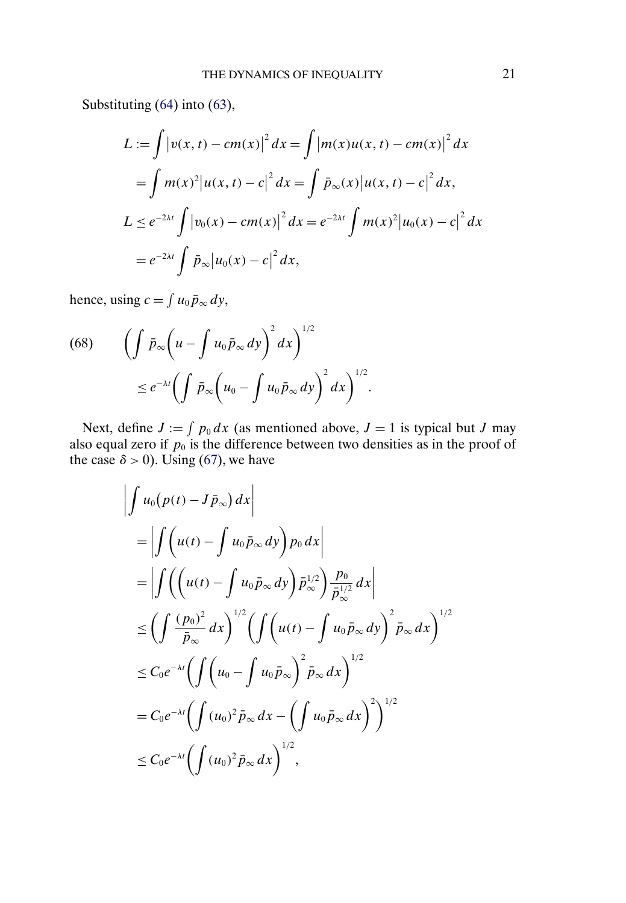<span id="page-20-0"></span>Substituting [\(64\)](#page-18-0) into [\(63\)](#page-18-0),

$$
L := \int |v(x, t) - cm(x)|^2 dx = \int |m(x)u(x, t) - cm(x)|^2 dx
$$
  
= 
$$
\int m(x)^2 |u(x, t) - c|^2 dx = \int \bar{p}_{\infty}(x) |u(x, t) - c|^2 dx,
$$
  

$$
L \le e^{-2\lambda t} \int |v_0(x) - cm(x)|^2 dx = e^{-2\lambda t} \int m(x)^2 |u_0(x) - c|^2 dx
$$
  
= 
$$
e^{-2\lambda t} \int \bar{p}_{\infty} |u_0(x) - c|^2 dx,
$$

hence, using  $c = \int u_0 \bar{p}_{\infty} dy$ ,

(68) 
$$
\left(\int \bar{p}_{\infty}\left(u-\int u_0\bar{p}_{\infty}dy\right)^2dx\right)^{1/2} \leq e^{-\lambda t}\left(\int \bar{p}_{\infty}\left(u_0-\int u_0\bar{p}_{\infty}dy\right)^2dx\right)^{1/2}.
$$

Next, define  $J := \int p_0 dx$  (as mentioned above,  $J = 1$  is typical but J may also equal zero if  $p_0$  is the difference between two densities as in the proof of the case  $\delta > 0$ ). Using [\(67\)](#page-19-0), we have

$$
\left| \int u_0(p(t) - J\bar{p}_{\infty}) dx \right|
$$
  
\n
$$
= \left| \int \left( u(t) - \int u_0 \bar{p}_{\infty} dy \right) p_0 dx \right|
$$
  
\n
$$
= \left| \int \left( \left( u(t) - \int u_0 \bar{p}_{\infty} dy \right) \bar{p}_{\infty}^{1/2} \right) \frac{p_0}{\bar{p}_{\infty}^{1/2}} dx \right|
$$
  
\n
$$
\leq \left( \int \frac{(p_0)^2}{\bar{p}_{\infty}} dx \right)^{1/2} \left( \int \left( u(t) - \int u_0 \bar{p}_{\infty} dy \right)^2 \bar{p}_{\infty} dx \right)^{1/2}
$$
  
\n
$$
\leq C_0 e^{-\lambda t} \left( \int \left( u_0 - \int u_0 \bar{p}_{\infty} \right)^2 \bar{p}_{\infty} dx \right)^{1/2}
$$
  
\n
$$
= C_0 e^{-\lambda t} \left( \int (u_0)^2 \bar{p}_{\infty} dx - \left( \int u_0 \bar{p}_{\infty} dx \right)^2 \right)^{1/2}
$$
  
\n
$$
\leq C_0 e^{-\lambda t} \left( \int (u_0)^2 \bar{p}_{\infty} dx \right)^{1/2},
$$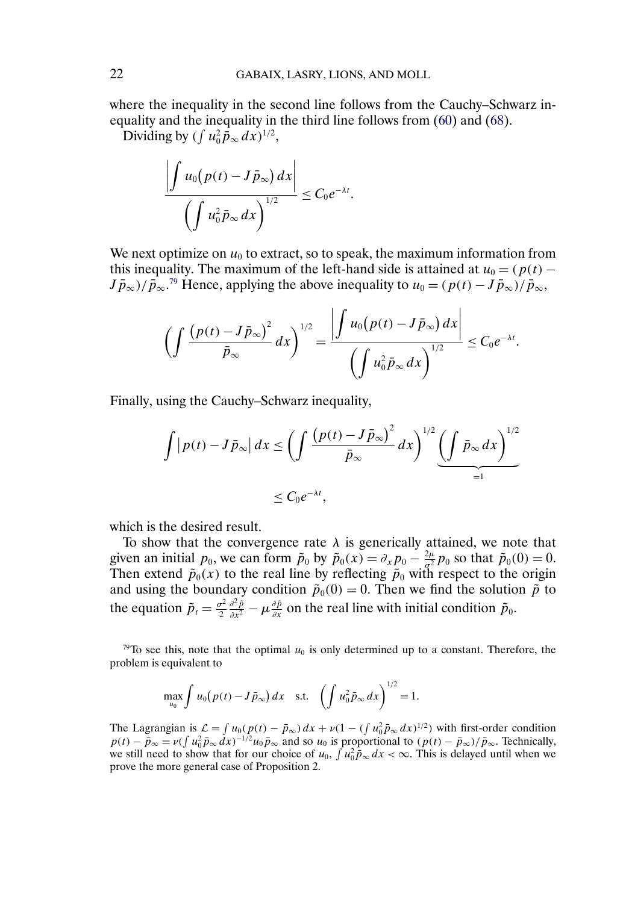where the inequality in the second line follows from the Cauchy–Schwarz inequality and the inequality in the third line follows from [\(60\)](#page-17-0) and [\(68\)](#page-20-0).

Dividing by  $(\int u_0^2 \vec{p}_{\infty} dx)^{1/2}$ ,

$$
\frac{\left|\int u_0(p(t)-J\bar{p}_{\infty}) dx\right|}{\left(\int u_0^2 \bar{p}_{\infty} dx\right)^{1/2}} \leq C_0 e^{-\lambda t}.
$$

We next optimize on  $u_0$  to extract, so to speak, the maximum information from this inequality. The maximum of the left-hand side is attained at  $u_0 = (p(t) J\bar{p}_{\infty}$ )/ $\bar{p}_{\infty}$ .<sup>79</sup> Hence, applying the above inequality to  $u_0 = (p(t) - J\bar{p}_{\infty})/\bar{p}_{\infty}$ ,

$$
\left(\int \frac{\left(p(t)-J\bar{p}_{\infty}\right)^2}{\bar{p}_{\infty}}dx\right)^{1/2}=\frac{\left|\int u_0\left(p(t)-J\bar{p}_{\infty}\right)dx\right|}{\left(\int u_0^2\bar{p}_{\infty}dx\right)^{1/2}}\leq C_0e^{-\lambda t}.
$$

Finally, using the Cauchy–Schwarz inequality,

$$
\int |p(t) - J\bar{p}_{\infty}| dx \le \left(\int \frac{\left(p(t) - J\bar{p}_{\infty}\right)^2}{\bar{p}_{\infty}} dx\right)^{1/2} \underbrace{\left(\int \bar{p}_{\infty} dx\right)^{1/2}}_{=1}
$$
  

$$
\le C_0 e^{-\lambda t},
$$

which is the desired result.

To show that the convergence rate  $\lambda$  is generically attained, we note that given an initial  $p_0$ , we can form  $\tilde{p}_0$  by  $\tilde{p}_0(x) = \partial_x p_0 - \frac{2\mu}{\sigma^2} p_0$  so that  $\tilde{p}_0(0) = 0$ . Then extend  $\tilde{p}_0(x)$  to the real line by reflecting  $\tilde{p}_0$  with respect to the origin and using the boundary condition  $\tilde{p}_0(0) = 0$ . Then we find the solution  $\tilde{p}$  to the equation  $\tilde{p}_t = \frac{\sigma^2}{2}$  $\frac{\partial^2 \tilde{p}}{\partial x^2} - \mu \frac{\partial \tilde{p}}{\partial x}$  on the real line with initial condition  $\tilde{p}_0$ .

<sup>79</sup>To see this, note that the optimal  $u_0$  is only determined up to a constant. Therefore, the problem is equivalent to

$$
\max_{u_0} \int u_0 (p(t) - J \bar{p}_{\infty}) dx \text{ s.t. } \left( \int u_0^2 \bar{p}_{\infty} dx \right)^{1/2} = 1.
$$

The Lagrangian is  $\mathcal{L} = \int u_0(p(t) - \bar{p}_{\infty})dx + \nu(1 - (\int u_0^2 \bar{p}_{\infty} dx)^{1/2})$  with first-order condition  $p(t) - \bar{p}_{\infty} = \nu \left(\int u_0^2 \bar{p}_{\infty} dx\right)^{-1/2} u_0 \bar{p}_{\infty}$  and so  $u_0$  is proportional to  $\left(\frac{p(t) - \bar{p}_{\infty}}{\bar{p}_{\infty}}\right)$ . Technically, we still need to show that for our choice of  $u_0$ ,  $\int u_0^2 \bar{p}_{\infty} dx < \infty$ . This is delayed until when we prove the more general case of Proposition 2.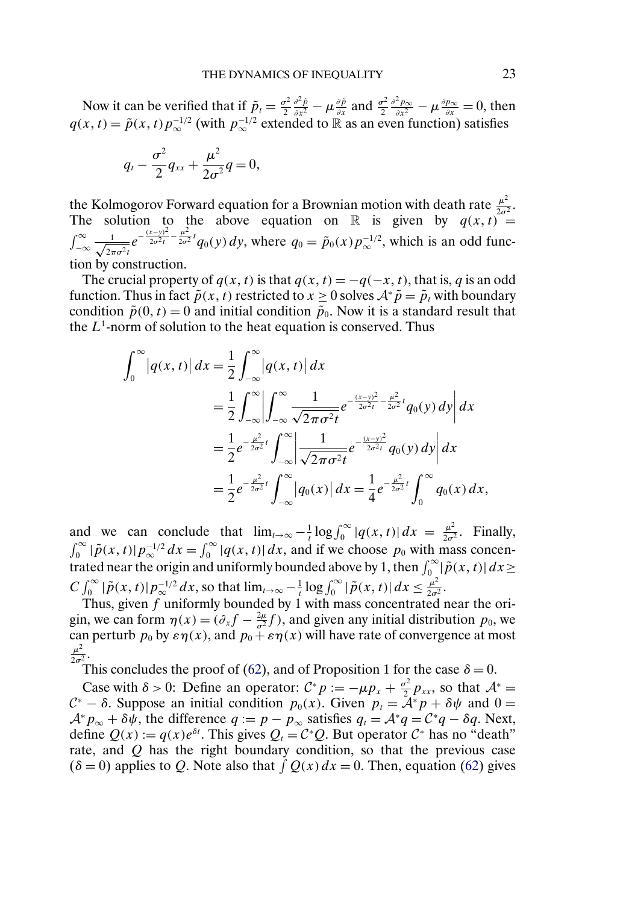Now it can be verified that if  $\tilde{p}_t = \frac{\sigma^2}{2}$  $\frac{\partial^2 \tilde{p}}{\partial x^2} - \mu \frac{\partial \tilde{p}}{\partial x}$  and  $\frac{\sigma^2}{2}$  $\frac{\partial^2 p_{\infty}}{\partial x^2} - \mu \frac{\partial p_{\infty}}{\partial x} = 0$ , then  $q(x, t) = \tilde{p}(x, t) p_{\infty}^{-1/2}$  (with  $p_{\infty}^{-1/2}$  extended to  $\mathbb{R}$  as an even function) satisfies

$$
q_t-\frac{\sigma^2}{2}q_{xx}+\frac{\mu^2}{2\sigma^2}q=0,
$$

the Kolmogorov Forward equation for a Brownian motion with death rate  $\frac{\mu^2}{2\sigma^2}$ . The solution to the above equation on R is given by  $q(x, t) =$  $\int_{-\infty}^{\infty} \frac{1}{\sqrt{2}}$  $\frac{1}{2\pi\sigma^2 t}e^{-\frac{(x-y)^2}{2\sigma^2 t}-\frac{\mu^2}{2\sigma^2}t}q_0(y) dy$ , where  $q_0 = \tilde{p}_0(x)p_{\infty}^{-1/2}$ , which is an odd function by construction.

The crucial property of  $q(x, t)$  is that  $q(x, t) = -q(-x, t)$ , that is, q is an odd function. Thus in fact  $\tilde{p}(x, t)$  restricted to  $x \ge 0$  solves  $A^* \tilde{p} = \tilde{p}_t$  with boundary condition  $\tilde{p}(0, t) = 0$  and initial condition  $\tilde{p}_0$ . Now it is a standard result that the  $L^1$ -norm of solution to the heat equation is conserved. Thus

$$
\int_0^{\infty} |q(x,t)| dx = \frac{1}{2} \int_{-\infty}^{\infty} |q(x,t)| dx
$$
  
\n
$$
= \frac{1}{2} \int_{-\infty}^{\infty} \left| \int_{-\infty}^{\infty} \frac{1}{\sqrt{2\pi\sigma^2 t}} e^{-\frac{(x-y)^2}{2\sigma^2 t} - \frac{\mu^2}{2\sigma^2 t}} q_0(y) dy \right| dx
$$
  
\n
$$
= \frac{1}{2} e^{-\frac{\mu^2}{2\sigma^2 t}} \int_{-\infty}^{\infty} \left| \frac{1}{\sqrt{2\pi\sigma^2 t}} e^{-\frac{(x-y)^2}{2\sigma^2 t}} q_0(y) dy \right| dx
$$
  
\n
$$
= \frac{1}{2} e^{-\frac{\mu^2}{2\sigma^2 t}} \int_{-\infty}^{\infty} |q_0(x)| dx = \frac{1}{4} e^{-\frac{\mu^2}{2\sigma^2 t}} \int_{0}^{\infty} q_0(x) dx,
$$

and we can conclude that  $\lim_{t\to\infty} -\frac{1}{t} \log \int_0^\infty |q(x, t)| dx = \frac{\mu^2}{2\sigma^2}$ . Finally,  $\int_0^\infty |\tilde{p}(x,t)| p_{\infty}^{-1/2} dx = \int_0^\infty |q(x,t)| dx$ , and if we choose  $p_0$  with mass concentrated near the origin and uniformly bounded above by 1, then  $\int_0^\infty |\tilde{p}(x, t)| dx \ge$  $C \int_0^{\infty} |\tilde{p}(x, t)| p_{\infty}^{-1/2} dx$ , so that  $\lim_{t \to \infty} -\frac{1}{t} \log \int_0^{\infty} |\tilde{p}(x, t)| dx \le \frac{\mu^2}{2\sigma^2}$ .

Thus, given  $f$  uniformly bounded by 1 with mass concentrated near the origin, we can form  $\eta(x) = (\partial_x f - \frac{2\mu}{\sigma^2} f)$ , and given any initial distribution  $p_0$ , we can perturb  $p_0$  by  $\varepsilon \eta(x)$ , and  $p_0 + \varepsilon \eta(x)$  will have rate of convergence at most  $rac{\mu^2}{2\sigma^2}$ .

This concludes the proof of [\(62\)](#page-17-0), and of Proposition 1 for the case  $\delta = 0$ .

Case with  $\delta > 0$ : Define an operator:  $C^* p := -\mu p_x + \frac{\sigma^2}{2} p_{xx}$ , so that  $A^* =$  $\mathcal{C}^*$  – δ. Suppose an initial condition  $p_0(x)$ . Given  $p_t = \tilde{\mathcal{A}}^* p + \delta \psi$  and  $0 =$  $A^*p_\infty + \delta \psi$ , the difference  $q := p - p_\infty$  satisfies  $q_t = A^*q = C^*q - \delta q$ . Next, define  $Q(x) := q(x)e^{\delta t}$ . This gives  $Q_t = C^*Q$ . But operator  $C^*$  has no "death" rate, and  $Q$  has the right boundary condition, so that the previous case  $(\delta = 0)$  applies to Q. Note also that  $\int Q(x) dx = 0$ . Then, equation [\(62\)](#page-17-0) gives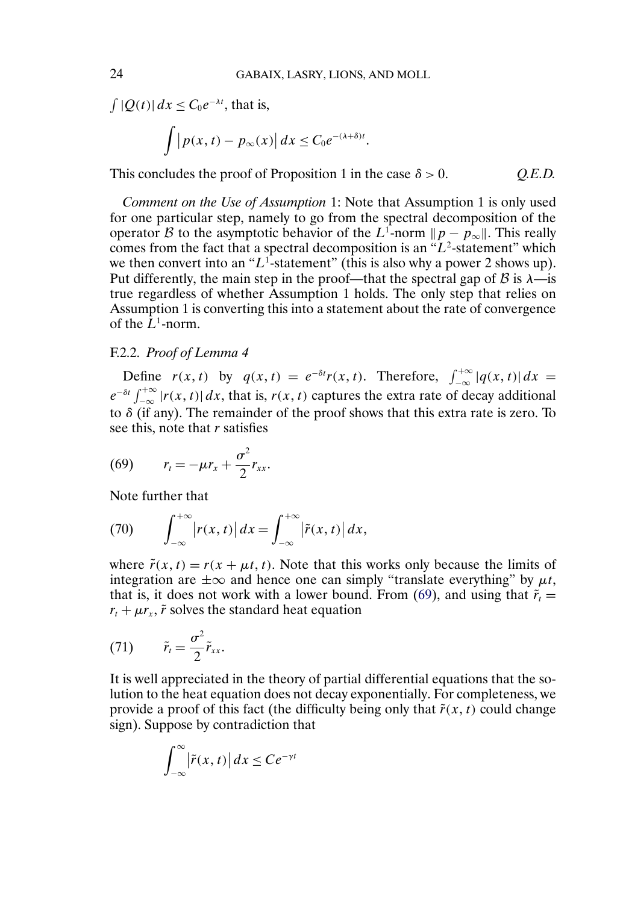$\int |Q(t)| dx \leq C_0 e^{-\lambda t}$ , that is,

$$
\int |p(x,t) - p_{\infty}(x)| dx \leq C_0 e^{-(\lambda + \delta)t}.
$$

This concludes the proof of Proposition 1 in the case  $\delta > 0$ . Q.E.D.

*Comment on the Use of Assumption* 1: Note that Assumption 1 is only used for one particular step, namely to go from the spectral decomposition of the operator B to the asymptotic behavior of the L<sup>1</sup>-norm  $||p - p_{\infty}||$ . This really comes from the fact that a spectral decomposition is an " $L^2$ -statement" which we then convert into an " $L<sup>1</sup>$ -statement" (this is also why a power 2 shows up). Put differently, the main step in the proof—that the spectral gap of  $\beta$  is  $\lambda$ —is true regardless of whether Assumption 1 holds. The only step that relies on Assumption 1 is converting this into a statement about the rate of convergence of the  $\bar{L}^1$ -norm.

# F.2.2. *Proof of Lemma 4*

Define  $r(x, t)$  by  $q(x, t) = e^{-\delta t} r(x, t)$ . Therefore,  $\int_{-\infty}^{+\infty} |q(x, t)| dx =$  $e^{-\delta t} \int_{-\infty}^{+\infty} |r(x, t)| dx$ , that is,  $r(x, t)$  captures the extra rate of decay additional to  $\delta$  (if any). The remainder of the proof shows that this extra rate is zero. To see this, note that *r* satisfies

$$
(69) \qquad r_t = -\mu r_x + \frac{\sigma^2}{2} r_{xx}.
$$

Note further that

(70) 
$$
\int_{-\infty}^{+\infty} |r(x,t)| dx = \int_{-\infty}^{+\infty} |\tilde{r}(x,t)| dx,
$$

where  $\tilde{r}(x, t) = r(x + \mu t, t)$ . Note that this works only because the limits of integration are  $\pm \infty$  and hence one can simply "translate everything" by  $\mu t$ , that is, it does not work with a lower bound. From (69), and using that  $\tilde{r}_t$  =  $r_t + \mu r_x$ ,  $\tilde{r}$  solves the standard heat equation

$$
(71) \qquad \tilde{r}_t = \frac{\sigma^2}{2} \tilde{r}_{xx}.
$$

It is well appreciated in the theory of partial differential equations that the solution to the heat equation does not decay exponentially. For completeness, we provide a proof of this fact (the difficulty being only that  $\tilde{r}(x, t)$  could change sign). Suppose by contradiction that

$$
\int_{-\infty}^{\infty} |\tilde{r}(x,t)| dx \le Ce^{-\gamma t}
$$

<span id="page-23-0"></span>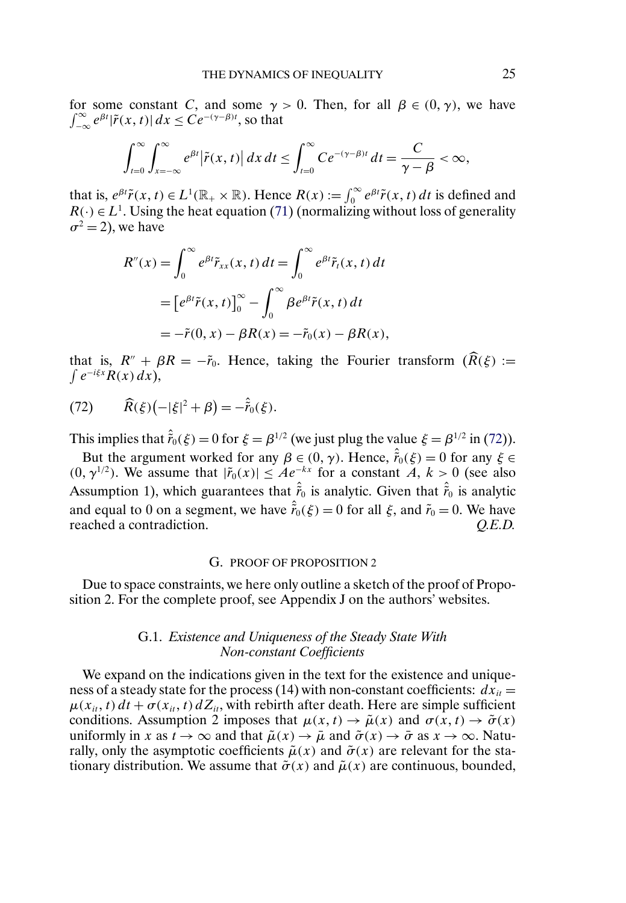for some constant C, and some  $\gamma > 0$ . Then, for all  $\beta \in (0, \gamma)$ , we have  $\int_{-\infty}^{\infty} e^{\beta t} |\tilde{r}(x, t)| dx \leq C e^{-(\gamma - \beta)t}$ , so that

$$
\int_{t=0}^{\infty}\int_{x=-\infty}^{\infty}e^{\beta t}|\tilde{r}(x,t)|\,dx\,dt\leq \int_{t=0}^{\infty}Ce^{-(\gamma-\beta)t}\,dt=\frac{C}{\gamma-\beta}<\infty,
$$

that is,  $e^{\beta t} \tilde{r}(x, t) \in L^1(\mathbb{R}_+ \times \mathbb{R})$ . Hence  $R(x) := \int_0^\infty e^{\beta t} \tilde{r}(x, t) dt$  is defined and  $R(\cdot) \in L^1$ . Using the heat equation [\(71\)](#page-23-0) (normalizing without loss of generality  $\sigma^2 = 2$ ), we have

$$
R''(x) = \int_0^\infty e^{\beta t} \tilde{r}_{xx}(x, t) dt = \int_0^\infty e^{\beta t} \tilde{r}_t(x, t) dt
$$
  
= 
$$
[e^{\beta t} \tilde{r}(x, t)]_0^\infty - \int_0^\infty \beta e^{\beta t} \tilde{r}(x, t) dt
$$
  
= 
$$
-\tilde{r}(0, x) - \beta R(x) = -\tilde{r}_0(x) - \beta R(x),
$$

 $\int e^{-i\xi x} R(x) dx$ , that is,  $R'' + \beta R = -\tilde{r}_0$ . Hence, taking the Fourier transform  $(\hat{R}(\xi)) :=$ 

(72) 
$$
\widehat{R}(\xi)(-|\xi|^2 + \beta) = -\hat{r}_0(\xi).
$$

This implies that  $\hat{r}_0(\xi) = 0$  for  $\xi = \beta^{1/2}$  (we just plug the value  $\xi = \beta^{1/2}$  in (72)).

But the argument worked for any  $\beta \in (0, \gamma)$ . Hence,  $\hat{r}_0(\xi) = 0$  for any  $\xi \in$  $(0, \gamma^{1/2})$ . We assume that  $|\tilde{r}_0(x)| \leq Ae^{-kx}$  for a constant  $A, k > 0$  (see also Assumption 1), which guarantees that  $\hat{\tilde{r}}_0$  is analytic. Given that  $\hat{\tilde{r}}_0$  is analytic and equal to 0 on a segment, we have  $\hat{\tilde{r}}_0(\xi) = 0$  for all  $\xi$ , and  $\tilde{r}_0 = 0$ . We have reached a contradiction. *Q.E.D.*

## G. PROOF OF PROPOSITION 2

Due to space constraints, we here only outline a sketch of the proof of Proposition 2. For the complete proof, see Appendix J on the authors' websites.

# G.1. *Existence and Uniqueness of the Steady State With Non-constant Coefficients*

We expand on the indications given in the text for the existence and uniqueness of a steady state for the process (14) with non-constant coefficients:  $dx_{it} =$  $\mu(x_{it}, t) dt + \sigma(x_{it}, t) dZ_{it}$ , with rebirth after death. Here are simple sufficient conditions. Assumption 2 imposes that  $\mu(x, t) \to \tilde{\mu}(x)$  and  $\sigma(x, t) \to \tilde{\sigma}(x)$ uniformly in x as  $t \to \infty$  and that  $\tilde{\mu}(x) \to \bar{\mu}$  and  $\tilde{\sigma}(x) \to \bar{\sigma}$  as  $x \to \infty$ . Naturally, only the asymptotic coefficients  $\tilde{\mu}(x)$  and  $\tilde{\sigma}(x)$  are relevant for the stationary distribution. We assume that  $\tilde{\sigma}(x)$  and  $\tilde{\mu}(x)$  are continuous, bounded,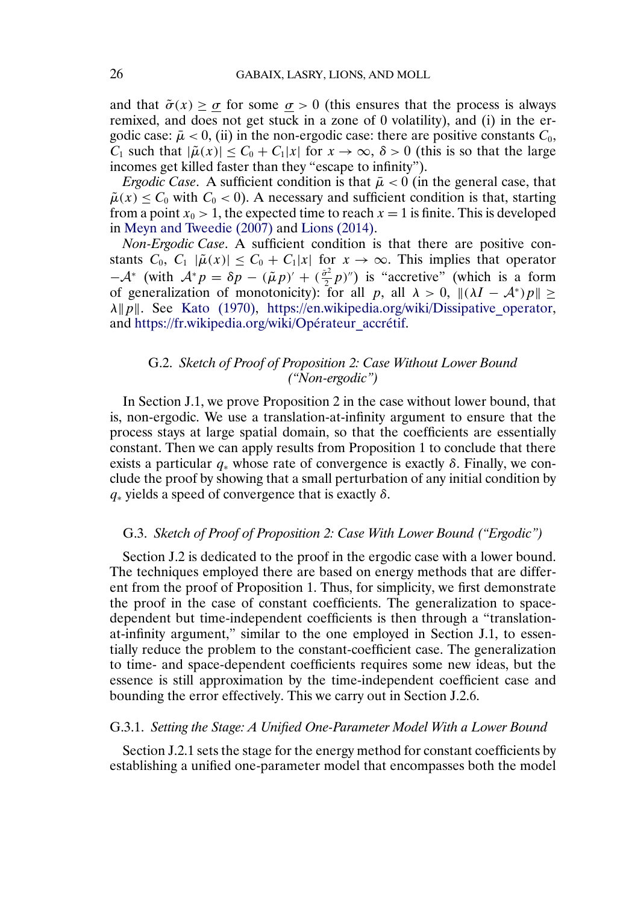<span id="page-25-0"></span>and that  $\tilde{\sigma}(x) > \sigma$  for some  $\sigma > 0$  (this ensures that the process is always remixed, and does not get stuck in a zone of 0 volatility), and (i) in the ergodic case:  $\bar{\mu}$  < 0, (ii) in the non-ergodic case: there are positive constants  $C_0$ ,  $C_1$  such that  $|\tilde{\mu}(x)| \leq C_0 + C_1|x|$  for  $x \to \infty$ ,  $\delta > 0$  (this is so that the large incomes get killed faster than they "escape to infinity").

*Ergodic Case.* A sufficient condition is that  $\bar{\mu} < 0$  (in the general case, that  $\tilde{\mu}(x) \leq C_0$  with  $C_0 < 0$ ). A necessary and sufficient condition is that, starting from a point  $x_0 > 1$ , the expected time to reach  $x = 1$  is finite. This is developed in [Meyn and Tweedie \(2007\)](#page-38-0) and [Lions \(2014\).](#page-38-0)

*Non-Ergodic Case*. A sufficient condition is that there are positive constants  $C_0$ ,  $C_1$   $|\tilde{\mu}(x)| \leq C_0 + C_1|x|$  for  $x \to \infty$ . This implies that operator  $-A^*$  (with  $A^* p = \delta p - (\tilde{\mu} p)' + (\frac{\tilde{\sigma}^2}{2} p)''$ ) is "accretive" (which is a form of generalization of monotonicity): for all p, all  $\lambda > 0$ ,  $\|(\lambda I - \mathcal{A}^*)p\| \ge$  $\lambda \| p \|$ . See [Kato \(1970\),](#page-38-0) https://en.wikipedia.org/wiki/Dissipative operator, and [https://fr.wikipedia.org/wiki/Opérateur\\_accrétif.](https://fr.wikipedia.org/wiki/Op�rateur_accr�tif)

# G.2. *Sketch of Proof of Proposition 2: Case Without Lower Bound ("Non-ergodic")*

In Section J.1, we prove Proposition 2 in the case without lower bound, that is, non-ergodic. We use a translation-at-infinity argument to ensure that the process stays at large spatial domain, so that the coefficients are essentially constant. Then we can apply results from Proposition 1 to conclude that there exists a particular  $q_*$  whose rate of convergence is exactly  $\delta$ . Finally, we conclude the proof by showing that a small perturbation of any initial condition by  $q_*$  yields a speed of convergence that is exactly  $\delta$ .

# G.3. *Sketch of Proof of Proposition 2: Case With Lower Bound ("Ergodic")*

Section J.2 is dedicated to the proof in the ergodic case with a lower bound. The techniques employed there are based on energy methods that are different from the proof of Proposition 1. Thus, for simplicity, we first demonstrate the proof in the case of constant coefficients. The generalization to spacedependent but time-independent coefficients is then through a "translationat-infinity argument," similar to the one employed in Section J.1, to essentially reduce the problem to the constant-coefficient case. The generalization to time- and space-dependent coefficients requires some new ideas, but the essence is still approximation by the time-independent coefficient case and bounding the error effectively. This we carry out in Section J.2.6.

#### G.3.1. *Setting the Stage: A Unified One-Parameter Model With a Lower Bound*

Section J.2.1 sets the stage for the energy method for constant coefficients by establishing a unified one-parameter model that encompasses both the model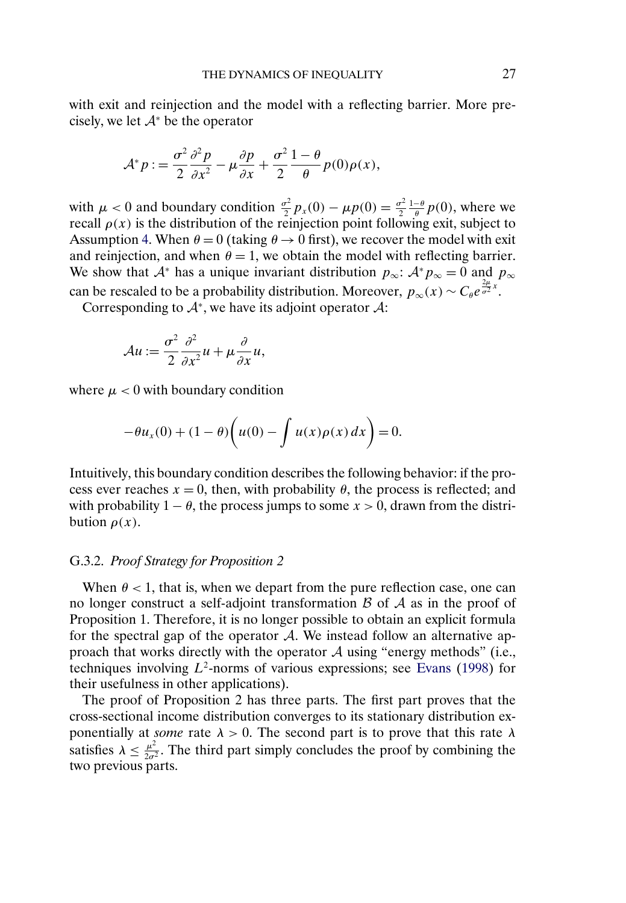<span id="page-26-0"></span>with exit and reinjection and the model with a reflecting barrier. More precisely, we let  $A^*$  be the operator

$$
\mathcal{A}^* p := \frac{\sigma^2}{2} \frac{\partial^2 p}{\partial x^2} - \mu \frac{\partial p}{\partial x} + \frac{\sigma^2}{2} \frac{1 - \theta}{\theta} p(0) \rho(x),
$$

with  $\mu < 0$  and boundary condition  $\frac{\sigma^2}{2} p_x(0) - \mu p(0) = \frac{\sigma^2}{2} \frac{1-\theta}{\theta} p(0)$ , where we recall  $\rho(x)$  is the distribution of the reinjection point following exit, subject to Assumption [4.](#page-2-0) When  $\theta = 0$  (taking  $\theta \rightarrow 0$  first), we recover the model with exit and reinjection, and when  $\theta = 1$ , we obtain the model with reflecting barrier. We show that  $A^*$  has a unique invariant distribution  $p_{\infty}$ :  $A^* p_{\infty} = 0$  and  $p_{\infty}$ can be rescaled to be a probability distribution. Moreover,  $p_{\infty}(x) \sim C_{\theta} e^{\frac{2\mu}{\sigma^2}x}$ .

Corresponding to  $A^*$ , we have its adjoint operator  $A$ :

$$
\mathcal{A}u := \frac{\sigma^2}{2} \frac{\partial^2}{\partial x^2} u + \mu \frac{\partial}{\partial x} u,
$$

where  $\mu$  < 0 with boundary condition

$$
-\theta u_x(0) + (1 - \theta) \bigg( u(0) - \int u(x) \rho(x) dx \bigg) = 0.
$$

Intuitively, this boundary condition describes the following behavior: if the process ever reaches  $x = 0$ , then, with probability  $\theta$ , the process is reflected; and with probability  $1 - \theta$ , the process jumps to some  $x > 0$ , drawn from the distribution  $\rho(x)$ .

## G.3.2. *Proof Strategy for Proposition 2*

When  $\theta$  < 1, that is, when we depart from the pure reflection case, one can no longer construct a self-adjoint transformation  $\beta$  of  $\mathcal A$  as in the proof of Proposition 1. Therefore, it is no longer possible to obtain an explicit formula for the spectral gap of the operator A. We instead follow an alternative approach that works directly with the operator  $A$  using "energy methods" (i.e., techniques involving  $L^2$ -norms of various expressions; see [Evans](#page-37-0) [\(1998\)](#page-37-0) for their usefulness in other applications).

The proof of Proposition 2 has three parts. The first part proves that the cross-sectional income distribution converges to its stationary distribution exponentially at *some* rate  $\lambda > 0$ . The second part is to prove that this rate  $\lambda$ satisfies  $\lambda \leq \frac{\mu^2}{2\sigma^2}$ . The third part simply concludes the proof by combining the two previous parts.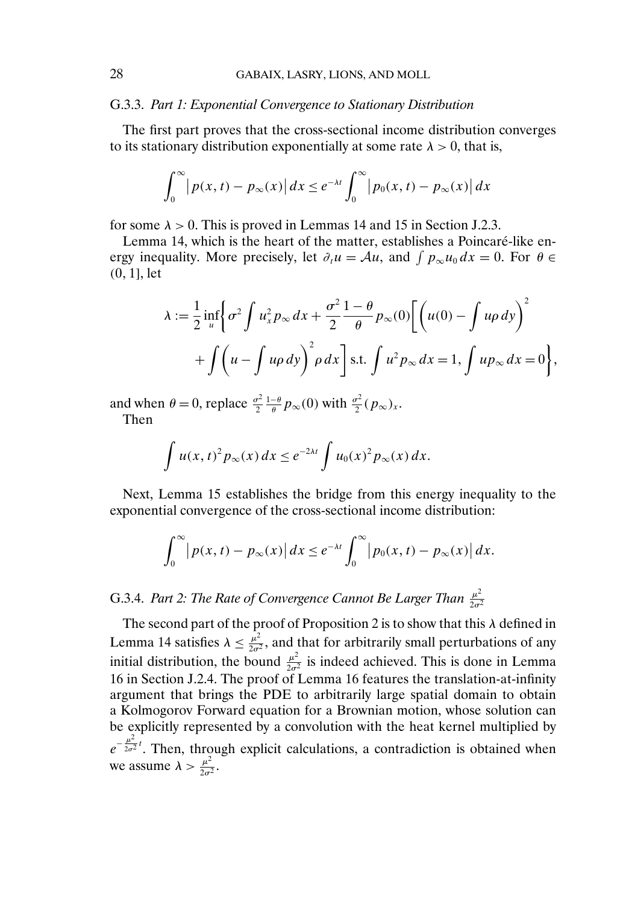## G.3.3. *Part 1: Exponential Convergence to Stationary Distribution*

The first part proves that the cross-sectional income distribution converges to its stationary distribution exponentially at some rate  $\lambda > 0$ , that is,

$$
\int_0^\infty \left| p(x,t) - p_\infty(x) \right| dx \le e^{-\lambda t} \int_0^\infty \left| p_0(x,t) - p_\infty(x) \right| dx
$$

for some  $\lambda > 0$ . This is proved in Lemmas 14 and 15 in Section J.2.3.

Lemma 14, which is the heart of the matter, establishes a Poincaré-like energy inequality. More precisely, let  $\partial_t u = \mathcal{A}u$ , and  $\int p_{\infty}u_0 dx = 0$ . For  $\theta \in$  $(0, 1]$ , let

$$
\lambda := \frac{1}{2} \inf_{u} \left\{ \sigma^2 \int u_x^2 p_\infty dx + \frac{\sigma^2}{2} \frac{1 - \theta}{\theta} p_\infty(0) \left[ \left( u(0) - \int u \rho \, dy \right)^2 \right. \right. \\ \left. + \int \left( u - \int u \rho \, dy \right)^2 \rho \, dx \right] \text{s.t.} \int u^2 p_\infty dx = 1, \int u p_\infty dx = 0 \right\},
$$

and when  $\theta = 0$ , replace  $\frac{\sigma^2}{2} \frac{1-\theta}{\theta} p_{\infty}(0)$  with  $\frac{\sigma^2}{2} (p_{\infty})_x$ . Then

$$
\int u(x,t)^2 p_{\infty}(x) dx \le e^{-2\lambda t} \int u_0(x)^2 p_{\infty}(x) dx.
$$

Next, Lemma 15 establishes the bridge from this energy inequality to the exponential convergence of the cross-sectional income distribution:

$$
\int_0^\infty \left|p(x,t)-p_\infty(x)\right|dx \leq e^{-\lambda t}\int_0^\infty \left|p_0(x,t)-p_\infty(x)\right|dx.
$$

# G.3.4. *Part 2: The Rate of Convergence Cannot Be Larger Than*  $\frac{\mu^2}{2\sigma^2}$

The second part of the proof of Proposition 2 is to show that this  $\lambda$  defined in Lemma 14 satisfies  $\lambda \leq \frac{\mu^2}{2\sigma^2}$ , and that for arbitrarily small perturbations of any initial distribution, the bound  $\frac{\mu^2}{2\sigma^2}$  is indeed achieved. This is done in Lemma 16 in Section J.2.4. The proof of Lemma 16 features the translation-at-infinity argument that brings the PDE to arbitrarily large spatial domain to obtain a Kolmogorov Forward equation for a Brownian motion, whose solution can be explicitly represented by a convolution with the heat kernel multiplied by  $e^{-\frac{\mu^2}{2\sigma^2}t}$ . Then, through explicit calculations, a contradiction is obtained when we assume  $\lambda > \frac{\mu^2}{2\sigma^2}$ .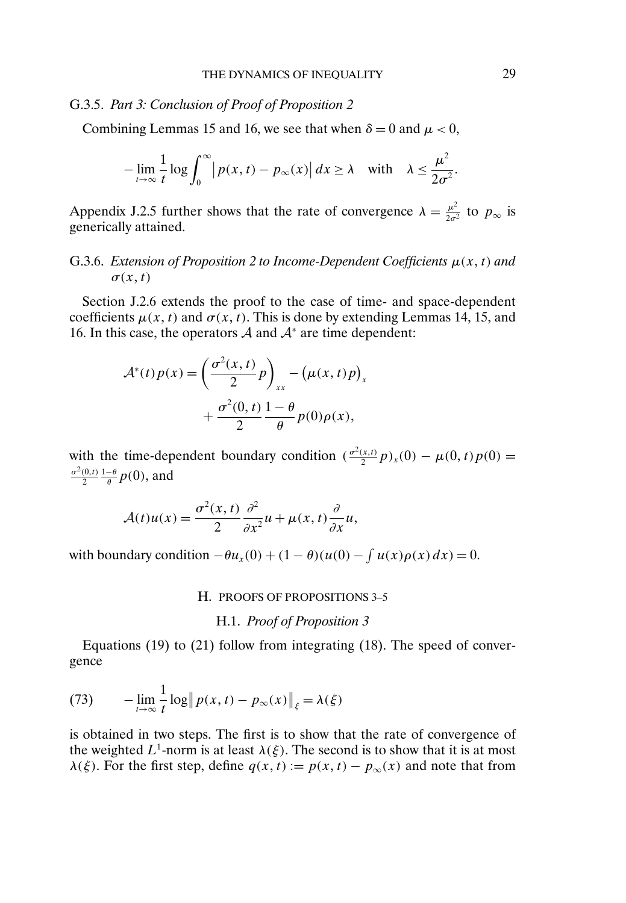## <span id="page-28-0"></span>G.3.5. *Part 3: Conclusion of Proof of Proposition 2*

Combining Lemmas 15 and 16, we see that when  $\delta = 0$  and  $\mu < 0$ ,

$$
-\lim_{t\to\infty}\frac{1}{t}\log\int_0^\infty\bigl|p(x,t)-p_\infty(x)\bigr|\,dx\ge\lambda\quad\text{with}\quad\lambda\le\frac{\mu^2}{2\sigma^2}.
$$

Appendix J.2.5 further shows that the rate of convergence  $\lambda = \frac{\mu^2}{2\sigma^2}$  to  $p_{\infty}$  is generically attained.

# G.3.6. *Extension of Proposition 2 to Income-Dependent Coefficients* μ(x t) *and*  $\sigma(x, t)$

Section J.2.6 extends the proof to the case of time- and space-dependent coefficients  $\mu(x, t)$  and  $\sigma(x, t)$ . This is done by extending Lemmas 14, 15, and 16. In this case, the operators  $A$  and  $A^*$  are time dependent:

$$
\mathcal{A}^*(t)p(x) = \left(\frac{\sigma^2(x,t)}{2}p\right)_{xx} - \left(\mu(x,t)p\right)_x
$$

$$
+ \frac{\sigma^2(0,t)}{2} \frac{1-\theta}{\theta} p(0)\rho(x),
$$

with the time-dependent boundary condition  $\left(\frac{\sigma^2(x,t)}{2}p\right)_x(0) - \mu(0,t)p(0) =$  $\sigma^2(0,t)$  $\frac{(0,t)}{2}\frac{1-\theta}{\theta}p(0),$  and

$$
\mathcal{A}(t)u(x) = \frac{\sigma^2(x,t)}{2} \frac{\partial^2}{\partial x^2} u + \mu(x,t) \frac{\partial}{\partial x} u,
$$

with boundary condition  $-\theta u_x(0) + (1 - \theta)(u(0) - \int u(x)\rho(x) dx) = 0$ .

#### H. PROOFS OF PROPOSITIONS 3–5

H.1. *Proof of Proposition 3*

Equations (19) to (21) follow from integrating (18). The speed of convergence

(73) 
$$
-\lim_{t\to\infty}\frac{1}{t}\log\left\|p(x,t)-p_{\infty}(x)\right\|_{\xi}=\lambda(\xi)
$$

is obtained in two steps. The first is to show that the rate of convergence of the weighted  $L^1$ -norm is at least  $\lambda(\xi)$ . The second is to show that it is at most  $\lambda(\xi)$ . For the first step, define  $q(x, t) := p(x, t) - p_{\infty}(x)$  and note that from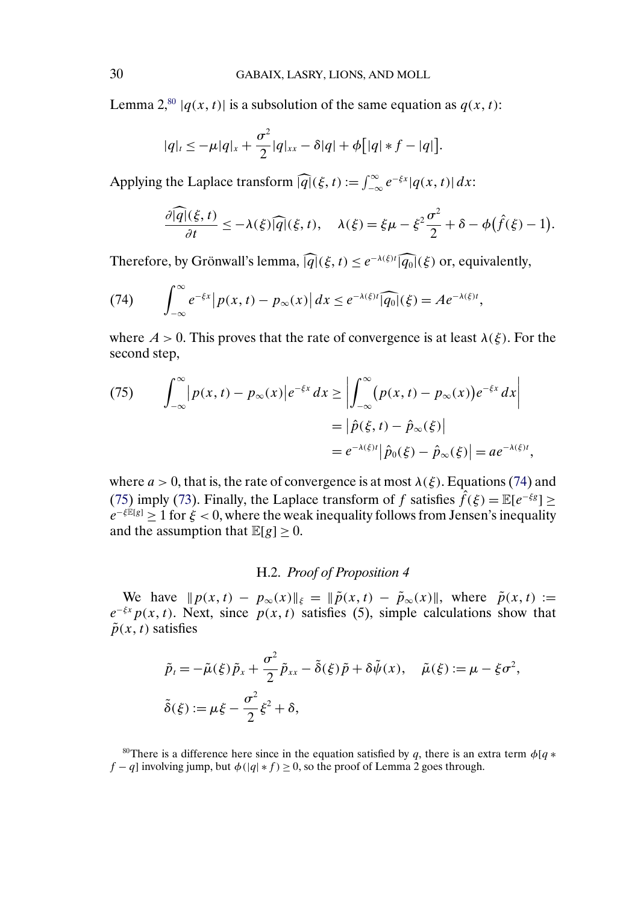Lemma 2,<sup>80</sup>  $|q(x, t)|$  is a subsolution of the same equation as  $q(x, t)$ :

$$
|q|_{t} \leq -\mu|q|_{x} + \frac{\sigma^{2}}{2}|q|_{xx} - \delta|q| + \phi\big[|q| * f - |q|\big].
$$

Applying the Laplace transform  $\widehat{|q|}(\xi, t) := \int_{-\infty}^{\infty} e^{-\xi x} |q(x, t)| dx$ :

$$
\frac{\partial |\widehat{q}|(\xi,t)}{\partial t} \le -\lambda(\xi)\widehat{|q|}(\xi,t), \quad \lambda(\xi) = \xi\mu - \xi^2\frac{\sigma^2}{2} + \delta - \phi(\widehat{f}(\xi) - 1).
$$

Therefore, by Grönwall's lemma,  $\widehat{|q|}(\xi, t) \leq e^{-\lambda(\xi)t} \widehat{|q_0|}(\xi)$  or, equivalently,

(74) 
$$
\int_{-\infty}^{\infty} e^{-\xi x} |p(x, t) - p_{\infty}(x)| dx \leq e^{-\lambda(\xi)t} |\widehat{q_0}|(\xi) = A e^{-\lambda(\xi)t},
$$

where  $A > 0$ . This proves that the rate of convergence is at least  $\lambda(\xi)$ . For the second step,

(75) 
$$
\int_{-\infty}^{\infty} |p(x,t) - p_{\infty}(x)| e^{-\xi x} dx \ge \left| \int_{-\infty}^{\infty} (p(x,t) - p_{\infty}(x)) e^{-\xi x} dx \right|
$$

$$
= \left| \hat{p}(\xi, t) - \hat{p}_{\infty}(\xi) \right|
$$

$$
= e^{-\lambda(\xi)t} \left| \hat{p}_0(\xi) - \hat{p}_{\infty}(\xi) \right| = a e^{-\lambda(\xi)t},
$$

where  $a > 0$ , that is, the rate of convergence is at most  $\lambda(\xi)$ . Equations (74) and (75) imply [\(73\)](#page-28-0). Finally, the Laplace transform of f satisfies  $\hat{f}(\xi) = \mathbb{E}[e^{-\xi g}]$  >  $e^{-\xi \mathbb{E}[g]}$  > 1 for  $\xi$  < 0, where the weak inequality follows from Jensen's inequality and the assumption that  $\mathbb{E}[g] > 0$ .

# H.2. *Proof of Proposition 4*

We have  $||p(x, t) - p_{\infty}(x)||_{\xi} = ||\tilde{p}(x, t) - \tilde{p}_{\infty}(x)||$ , where  $\tilde{p}(x, t) :=$  $e^{-\xi x} p(x, t)$ . Next, since  $p(x, t)$  satisfies (5), simple calculations show that  $\tilde{p}(x, t)$  satisfies

$$
\tilde{p}_t = -\tilde{\mu}(\xi)\tilde{p}_x + \frac{\sigma^2}{2}\tilde{p}_{xx} - \tilde{\delta}(\xi)\tilde{p} + \delta\tilde{\psi}(x), \quad \tilde{\mu}(\xi) := \mu - \xi\sigma^2,
$$
  

$$
\tilde{\delta}(\xi) := \mu\xi - \frac{\sigma^2}{2}\xi^2 + \delta,
$$

<sup>80</sup>There is a difference here since in the equation satisfied by q, there is an extra term  $\phi[q *$  $f - q$ ] involving jump, but  $\phi(|q| * f) \ge 0$ , so the proof of Lemma 2 goes through.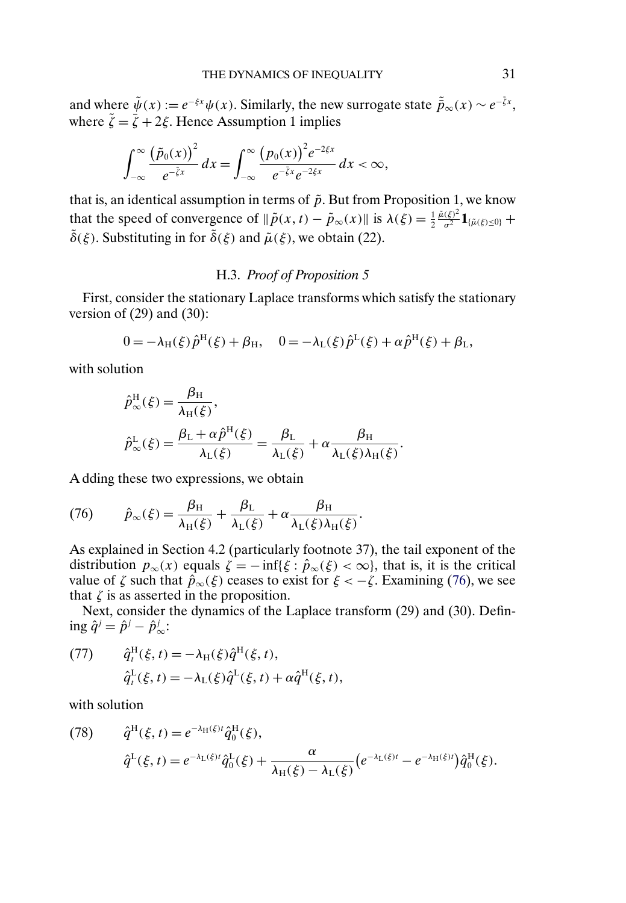and where  $\tilde{\psi}(x) := e^{-\xi x}\psi(x)$ . Similarly, the new surrogate state  $\tilde{\bar{p}}_{\infty}(x) \sim e^{-\tilde{\xi}x}$ , where  $\tilde{\zeta} = \bar{\zeta} + 2\xi$ . Hence Assumption 1 implies

$$
\int_{-\infty}^{\infty} \frac{\left(\tilde{p}_0(x)\right)^2}{e^{-\tilde{\zeta}x}} dx = \int_{-\infty}^{\infty} \frac{\left(p_0(x)\right)^2 e^{-2\xi x}}{e^{-\tilde{\zeta}x}e^{-2\xi x}} dx < \infty,
$$

that is, an identical assumption in terms of  $\tilde{p}$ . But from Proposition 1, we know that the speed of convergence of  $\|\tilde{p}(x,t) - \tilde{p}_{\infty}(x)\|$  is  $\lambda(\xi) = \frac{1}{2}$  $\frac{\tilde{\mu}(\xi)^2}{\sigma^2} {\bf 1}_{\{\tilde{\mu}(\xi)\leq 0\}}+$  $\tilde{\delta}(\xi)$ . Substituting in for  $\tilde{\delta}(\xi)$  and  $\tilde{\mu}(\xi)$ , we obtain (22).

# H.3. *Proof of Proposition 5*

First, consider the stationary Laplace transforms which satisfy the stationary version of  $(29)$  and  $(30)$ :

$$
0 = -\lambda_{H}(\xi)\hat{p}^{H}(\xi) + \beta_{H}, \quad 0 = -\lambda_{L}(\xi)\hat{p}^{L}(\xi) + \alpha\hat{p}^{H}(\xi) + \beta_{L},
$$

with solution

$$
\hat{p}_{\infty}^{\mathrm{H}}(\xi) = \frac{\beta_{\mathrm{H}}}{\lambda_{\mathrm{H}}(\xi)},
$$
\n
$$
\hat{p}_{\infty}^{\mathrm{L}}(\xi) = \frac{\beta_{\mathrm{L}} + \alpha \hat{p}^{\mathrm{H}}(\xi)}{\lambda_{\mathrm{L}}(\xi)} = \frac{\beta_{\mathrm{L}}}{\lambda_{\mathrm{L}}(\xi)} + \alpha \frac{\beta_{\mathrm{H}}}{\lambda_{\mathrm{L}}(\xi)\lambda_{\mathrm{H}}(\xi)}.
$$

A dding these two expressions, we obtain

(76) 
$$
\hat{p}_{\infty}(\xi) = \frac{\beta_{\mathrm{H}}}{\lambda_{\mathrm{H}}(\xi)} + \frac{\beta_{\mathrm{L}}}{\lambda_{\mathrm{L}}(\xi)} + \alpha \frac{\beta_{\mathrm{H}}}{\lambda_{\mathrm{L}}(\xi)\lambda_{\mathrm{H}}(\xi)}.
$$

As explained in Section 4.2 (particularly footnote 37), the tail exponent of the distribution  $p_{\infty}(x)$  equals  $\zeta = -\inf{\{\xi : \hat{p}_{\infty}(\xi) < \infty\}}$ , that is, it is the critical value of  $\zeta$  such that  $\hat{p}_{\infty}(\xi)$  ceases to exist for  $\xi < -\zeta$ . Examining (76), we see that  $\zeta$  is as asserted in the proposition.

Next, consider the dynamics of the Laplace transform (29) and (30). Defining  $\hat{q}^j = \hat{p}^j - \hat{p}^j_{\infty}$ :

(77) 
$$
\hat{q}_t^{\text{H}}(\xi, t) = -\lambda_{\text{H}}(\xi)\hat{q}^{\text{H}}(\xi, t), \n\hat{q}_t^{\text{L}}(\xi, t) = -\lambda_{\text{L}}(\xi)\hat{q}^{\text{L}}(\xi, t) + \alpha \hat{q}^{\text{H}}(\xi, t),
$$

with solution

(78) 
$$
\hat{q}^{\mathrm{H}}(\xi, t) = e^{-\lambda_{\mathrm{H}}(\xi)t} \hat{q}_{0}^{\mathrm{H}}(\xi),
$$

$$
\hat{q}^{\mathrm{L}}(\xi, t) = e^{-\lambda_{\mathrm{L}}(\xi)t} \hat{q}_{0}^{\mathrm{L}}(\xi) + \frac{\alpha}{\lambda_{\mathrm{H}}(\xi) - \lambda_{\mathrm{L}}(\xi)} (e^{-\lambda_{\mathrm{L}}(\xi)t} - e^{-\lambda_{\mathrm{H}}(\xi)t}) \hat{q}_{0}^{\mathrm{H}}(\xi).
$$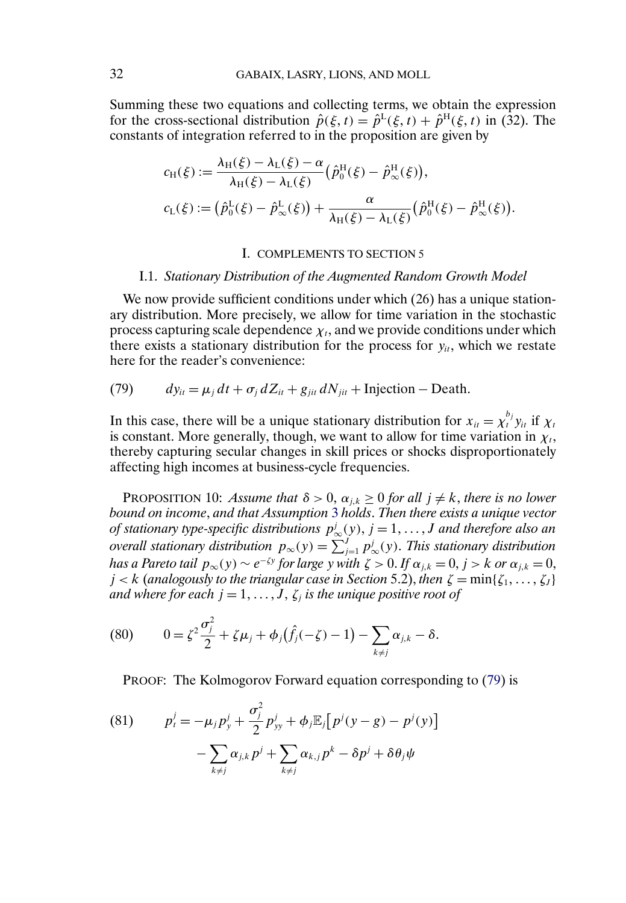<span id="page-31-0"></span>Summing these two equations and collecting terms, we obtain the expression for the cross-sectional distribution  $\hat{p}(\xi, t) = \hat{p}^L(\xi, t) + \hat{p}^H(\xi, t)$  in (32). The constants of integration referred to in the proposition are given by

$$
c_{H}(\xi) := \frac{\lambda_{H}(\xi) - \lambda_{L}(\xi) - \alpha}{\lambda_{H}(\xi) - \lambda_{L}(\xi)} (\hat{p}_{0}^{H}(\xi) - \hat{p}_{\infty}^{H}(\xi)),
$$
  

$$
c_{L}(\xi) := (\hat{p}_{0}^{L}(\xi) - \hat{p}_{\infty}^{L}(\xi)) + \frac{\alpha}{\lambda_{H}(\xi) - \lambda_{L}(\xi)} (\hat{p}_{0}^{H}(\xi) - \hat{p}_{\infty}^{H}(\xi)).
$$

#### I. COMPLEMENTS TO SECTION 5

# I.1. *Stationary Distribution of the Augmented Random Growth Model*

We now provide sufficient conditions under which (26) has a unique stationary distribution. More precisely, we allow for time variation in the stochastic process capturing scale dependence  $\chi_t$ , and we provide conditions under which there exists a stationary distribution for the process for  $y_{it}$ , which we restate here for the reader's convenience:

(79) 
$$
dy_{it} = \mu_j dt + \sigma_j dZ_{it} + g_{jit} dN_{jit} + Injection - Death.
$$

In this case, there will be a unique stationary distribution for  $x_{it} = \chi_t^{b_j} y_{it}$  if  $\chi_t$ is constant. More generally, though, we want to allow for time variation in  $\chi_t$ , thereby capturing secular changes in skill prices or shocks disproportionately affecting high incomes at business-cycle frequencies.

PROPOSITION 10: *Assume that*  $\delta > 0$ ,  $\alpha_{j,k} \geq 0$  *for all*  $j \neq k$ *, there is no lower bound on income*, *and that Assumption* [3](#page-2-0) *holds*. *Then there exists a unique vector of stationary type-specific distributions*  $p^j_\infty(y)$ ,  $j = 1, \ldots, J$  and therefore also an *overall stationary distribution*  $p_{\infty}(y) = \sum_{j=1}^{J} p_{\infty}^{j}(y)$ . This stationary distribution *has a Pareto tail*  $p_{\infty}(y) \sim e^{-\zeta y}$  *for large* y *with*  $\zeta > 0$ . If  $\alpha_{i,k} = 0$ ,  $j > k$  or  $\alpha_{j,k} = 0$ ,  $j < k$  (analogously to the triangular case in Section 5.2), then  $\zeta = \min\{\zeta_1, \ldots, \zeta_J\}$ *and where for each*  $j = 1, \ldots, J$ ,  $\zeta_j$  *is the unique positive root of* 

(80) 
$$
0 = \zeta^2 \frac{\sigma_j^2}{2} + \zeta \mu_j + \phi_j(\hat{f}_j(-\zeta) - 1) - \sum_{k \neq j} \alpha_{j,k} - \delta.
$$

PROOF: The Kolmogorov Forward equation corresponding to (79) is

(81) 
$$
p_t^j = -\mu_j p_y^j + \frac{\sigma_j^2}{2} p_{yy}^j + \phi_j \mathbb{E}_j [p^j (y - g) - p^j (y)] - \sum_{k \neq j} \alpha_{j,k} p^j + \sum_{k \neq j} \alpha_{k,j} p^k - \delta p^j + \delta \theta_j \psi
$$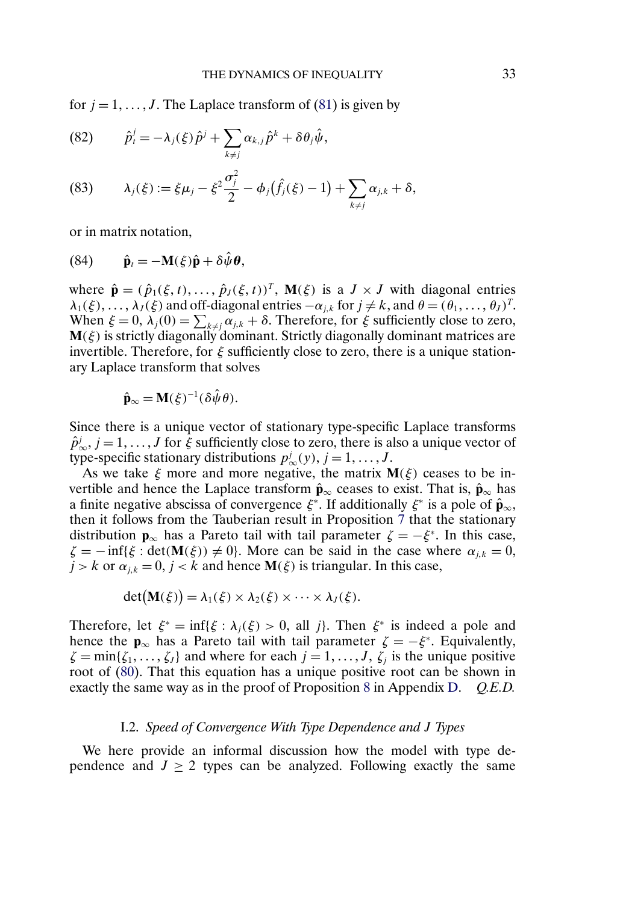<span id="page-32-0"></span>for  $j = 1, \ldots, J$ . The Laplace transform of [\(81\)](#page-31-0) is given by

(82) 
$$
\hat{p}_i^j = -\lambda_j(\xi)\hat{p}^j + \sum_{k \neq j} \alpha_{k,j}\hat{p}^k + \delta\theta_j\hat{\psi},
$$

(83) 
$$
\lambda_j(\xi) := \xi \mu_j - \xi^2 \frac{\sigma_j^2}{2} - \phi_j(\hat{f}_j(\xi) - 1) + \sum_{k \neq j} \alpha_{j,k} + \delta,
$$

or in matrix notation,

(84) 
$$
\hat{\mathbf{p}}_t = -\mathbf{M}(\xi)\hat{\mathbf{p}} + \delta \hat{\psi} \boldsymbol{\theta},
$$

where  $\hat{\mathbf{p}} = (\hat{p}_1(\xi, t), \dots, \hat{p}_J(\xi, t))^T$ ,  $\mathbf{M}(\xi)$  is a  $J \times J$  with diagonal entries  $\lambda_1(\xi), \ldots, \lambda_J(\xi)$  and off-diagonal entries  $-\alpha_{i,k}$  for  $j \neq k$ , and  $\theta = (\theta_1, \ldots, \theta_J)^T$ . When  $\xi = 0$ ,  $\lambda_j(0) = \sum_{k \neq j} \alpha_{j,k} + \delta$ . Therefore, for  $\xi$  sufficiently close to zero,  **is strictly diagonally dominant. Strictly diagonally dominant matrices are** invertible. Therefore, for  $\xi$  sufficiently close to zero, there is a unique stationary Laplace transform that solves

$$
\hat{\mathbf{p}}_{\infty} = \mathbf{M}(\xi)^{-1} (\delta \hat{\psi} \theta).
$$

Since there is a unique vector of stationary type-specific Laplace transforms  $\hat{p}_{\infty}^{j}$ ,  $j = 1, ..., J$  for  $\xi$  sufficiently close to zero, there is also a unique vector of type-specific stationary distributions  $p^j_\infty(y)$ ,  $j = 1, \ldots, J$ .

As we take  $\xi$  more and more negative, the matrix  $M(\xi)$  ceases to be invertible and hence the Laplace transform  $\hat{\mathbf{p}}_{\infty}$  ceases to exist. That is,  $\hat{\mathbf{p}}_{\infty}$  has a finite negative abscissa of convergence  $\xi^*$ . If additionally  $\xi^*$  is a pole of  $\hat{\mathbf{p}}_{\infty}$ , then it follows from the Tauberian result in Proposition [7](#page-6-0) that the stationary distribution **p**<sub>∞</sub> has a Pareto tail with tail parameter  $\zeta = -\xi^*$ . In this case,  $\zeta = -\inf{\{\xi : \det(M(\xi)) \neq 0\}}$ . More can be said in the case where  $\alpha_{i,k} = 0$ ,  $j > k$  or  $\alpha_{j,k} = 0$ ,  $j < k$  and hence  $\mathbf{M}(\xi)$  is triangular. In this case,

$$
\det(\mathbf{M}(\xi)) = \lambda_1(\xi) \times \lambda_2(\xi) \times \cdots \times \lambda_J(\xi).
$$

Therefore, let  $\xi^* = \inf{\xi : \lambda_i(\xi) > 0}$ , all j}. Then  $\xi^*$  is indeed a pole and hence the **p**<sub>∞</sub> has a Pareto tail with tail parameter  $\zeta = -\xi^*$ . Equivalently,  $\zeta = \min\{\zeta_1, \ldots, \zeta_J\}$  and where for each  $j = 1, \ldots, J, \zeta_j$  is the unique positive root of [\(80\)](#page-31-0). That this equation has a unique positive root can be shown in exactly the same way as in the proof of Proposition [8](#page-6-0) in Appendix [D.](#page-1-0) *Q.E.D.*

## I.2. *Speed of Convergence With Type Dependence and* J *Types*

We here provide an informal discussion how the model with type dependence and  $J \ge 2$  types can be analyzed. Following exactly the same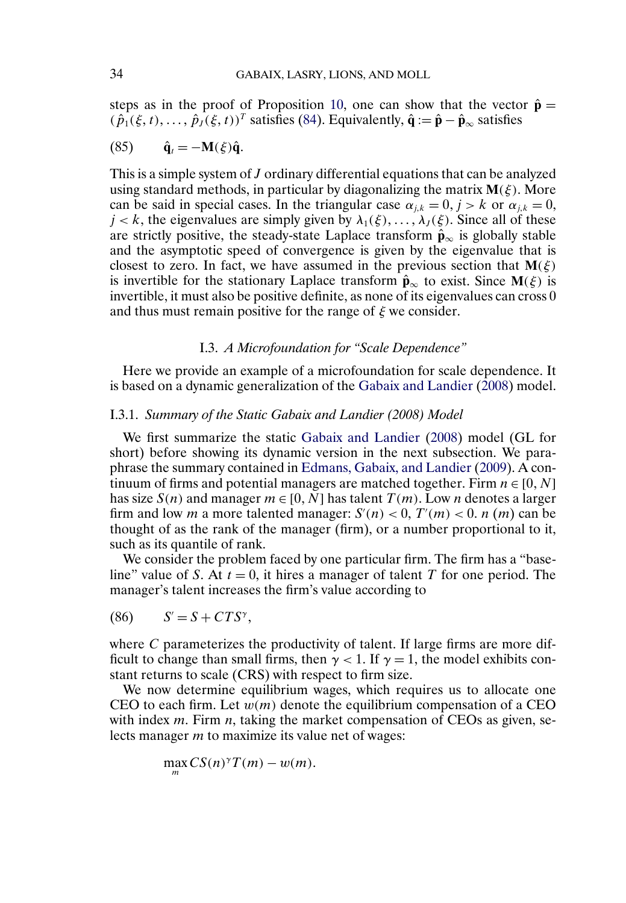<span id="page-33-0"></span>steps as in the proof of Proposition [10,](#page-31-0) one can show that the vector  $\hat{\mathbf{p}} =$  $(\hat{p}_1(\xi, t), \dots, \hat{p}_J(\xi, t))^T$  satisfies [\(84\)](#page-32-0). Equivalently,  $\hat{\mathbf{q}} := \hat{\mathbf{p}} - \hat{\mathbf{p}}_{\infty}$  satisfies

$$
(85) \qquad \hat{\mathbf{q}}_t = -\mathbf{M}(\xi)\hat{\mathbf{q}}.
$$

This is a simple system of J ordinary differential equations that can be analyzed using standard methods, in particular by diagonalizing the matrix  $M(\xi)$ . More can be said in special cases. In the triangular case  $\alpha_{i,k} = 0, j > k$  or  $\alpha_{i,k} = 0$ ,  $j < k$ , the eigenvalues are simply given by  $\lambda_1(\xi), \ldots, \lambda_j(\xi)$ . Since all of these are strictly positive, the steady-state Laplace transform  $\hat{\mathbf{p}}_{\infty}$  is globally stable and the asymptotic speed of convergence is given by the eigenvalue that is closest to zero. In fact, we have assumed in the previous section that  $M(\xi)$ is invertible for the stationary Laplace transform  $\hat{\mathbf{p}}_{\infty}$  to exist. Since  $\mathbf{M}(\xi)$  is invertible, it must also be positive definite, as none of its eigenvalues can cross 0 and thus must remain positive for the range of  $\xi$  we consider.

# I.3. *A Microfoundation for "Scale Dependence"*

Here we provide an example of a microfoundation for scale dependence. It is based on a dynamic generalization of the [Gabaix and Landier](#page-37-0) [\(2008\)](#page-37-0) model.

## I.3.1. *Summary of the Static Gabaix and Landier (2008) Model*

We first summarize the static [Gabaix and Landier](#page-37-0) [\(2008\)](#page-37-0) model (GL for short) before showing its dynamic version in the next subsection. We paraphrase the summary contained in [Edmans, Gabaix, and Landier](#page-37-0) [\(2009\)](#page-37-0). A continuum of firms and potential managers are matched together. Firm  $n \in [0, N]$ has size  $S(n)$  and manager  $m \in [0, N]$  has talent  $T(m)$ . Low *n* denotes a larger firm and low *m* a more talented manager:  $S'(n) < 0$ ,  $T'(m) < 0$ . *n* (*m*) can be thought of as the rank of the manager (firm), or a number proportional to it, such as its quantile of rank.

We consider the problem faced by one particular firm. The firm has a "baseline" value of S. At  $t = 0$ , it hires a manager of talent T for one period. The manager's talent increases the firm's value according to

(86)  $S' = S + CTS^{\gamma}$ ,

where C parameterizes the productivity of talent. If large firms are more difficult to change than small firms, then  $\gamma$  < 1. If  $\gamma = 1$ , the model exhibits constant returns to scale (CRS) with respect to firm size.

We now determine equilibrium wages, which requires us to allocate one CEO to each firm. Let  $w(m)$  denote the equilibrium compensation of a CEO with index  $m$ . Firm  $n$ , taking the market compensation of CEOs as given, selects manager m to maximize its value net of wages:

 $\max CS(n)^{\gamma}T(m) - w(m).$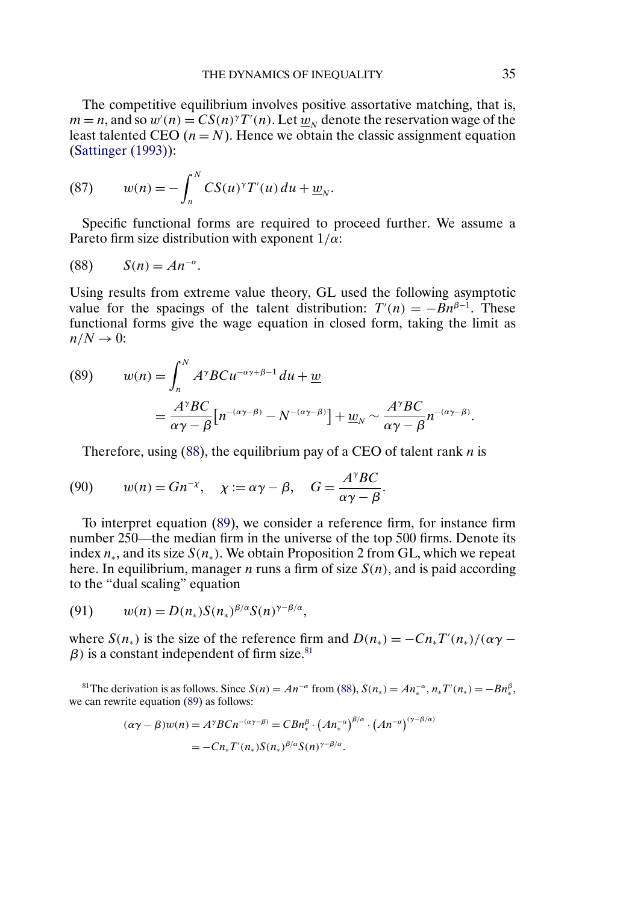<span id="page-34-0"></span>The competitive equilibrium involves positive assortative matching, that is,  $m = n$ , and so  $w'(n) = CS(n)^{\gamma}T'(n)$ . Let  $\overline{w}_N$  denote the reservation wage of the least talented CEO  $(n = N)$ . Hence we obtain the classic assignment equation [\(Sattinger \(1993\)\)](#page-38-0):

(87) 
$$
w(n) = -\int_n^N CS(u)^{\gamma} T'(u) du + \underline{w}_N.
$$

Specific functional forms are required to proceed further. We assume a Pareto firm size distribution with exponent  $1/\alpha$ :

$$
(88) \qquad S(n) = An^{-\alpha}.
$$

Using results from extreme value theory, GL used the following asymptotic value for the spacings of the talent distribution:  $T'(n) = -Bn^{\beta-1}$ . These functional forms give the wage equation in closed form, taking the limit as  $n/N \rightarrow 0$ :

(89) 
$$
w(n) = \int_{n}^{N} A^{\gamma}BCu^{-\alpha\gamma+\beta-1} du + \underline{w}
$$

$$
= \frac{A^{\gamma}BC}{\alpha\gamma - \beta} \Big[n^{-(\alpha\gamma-\beta)} - N^{-(\alpha\gamma-\beta)}\Big] + \underline{w}_{N} \sim \frac{A^{\gamma}BC}{\alpha\gamma - \beta} n^{-(\alpha\gamma-\beta)}.
$$

Therefore, using  $(88)$ , the equilibrium pay of a CEO of talent rank *n* is

(90) 
$$
w(n) = Gn^{-\chi}, \quad \chi := \alpha \gamma - \beta, \quad G = \frac{A^{\gamma}BC}{\alpha \gamma - \beta}.
$$

To interpret equation (89), we consider a reference firm, for instance firm number 250—the median firm in the universe of the top 500 firms. Denote its index  $n_*$ , and its size  $S(n_*)$ . We obtain Proposition 2 from GL, which we repeat here. In equilibrium, manager *n* runs a firm of size  $S(n)$ , and is paid according to the "dual scaling" equation

$$
(91) \t w(n) = D(n_*)S(n_*)^{\beta/\alpha}S(n)^{\gamma-\beta/\alpha},
$$

where  $S(n_*)$  is the size of the reference firm and  $D(n_*) = -Cn_*T'(n_*)/(\alpha \gamma \beta$ ) is a constant independent of firm size.<sup>81</sup>

<sup>81</sup>The derivation is as follows. Since  $S(n) = An^{-\alpha}$  from (88),  $S(n_*) = An_*^{-\alpha}, n_*T'(n_*) = -Bn_*^{\beta}$ , we can rewrite equation (89) as follows:

$$
(\alpha \gamma - \beta)w(n) = A^{\gamma}BCn^{-(\alpha \gamma - \beta)} = C B n_{*}^{\beta} \cdot (A n_{*}^{-\alpha})^{\beta/\alpha} \cdot (A n^{-\alpha})^{(\gamma - \beta/\alpha)}
$$

$$
= -C n_{*} T'(n_{*}) S(n_{*})^{\beta/\alpha} S(n)^{\gamma - \beta/\alpha}.
$$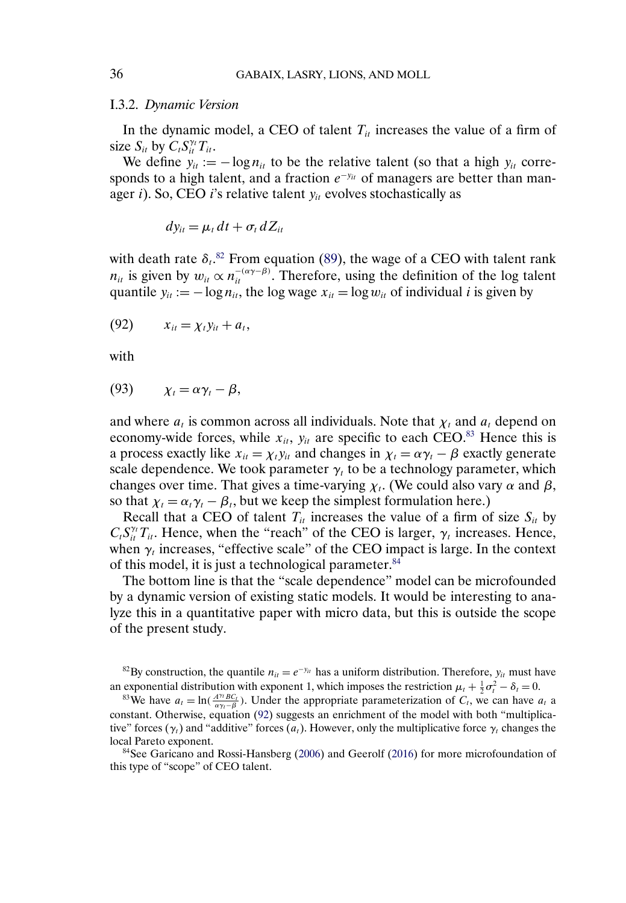## I.3.2. *Dynamic Version*

In the dynamic model, a CEO of talent  $T_{it}$  increases the value of a firm of size  $S_{it}$  by  $C_t S_{it}^{\gamma_t} T_{it}$ .

We define  $y_{it} := -\log n_{it}$  to be the relative talent (so that a high  $y_{it}$  corresponds to a high talent, and a fraction  $e^{-y_{it}}$  of managers are better than manager i). So, CEO i's relative talent  $y_{it}$  evolves stochastically as

$$
dy_{it} = \mu_t dt + \sigma_t dZ_{it}
$$

with death rate  $\delta_t$ .<sup>82</sup> From equation [\(89\)](#page-34-0), the wage of a CEO with talent rank  $n_{it}$  is given by  $w_{it} \propto n_{it}^{-(\alpha\gamma-\beta)}$ . Therefore, using the definition of the log talent quantile  $y_{it} := -\log n_{it}$ , the log wage  $x_{it} = \log w_{it}$  of individual i is given by

$$
(92) \qquad x_{it} = \chi_t y_{it} + a_t,
$$

with

$$
(93) \qquad \chi_t = \alpha \gamma_t - \beta,
$$

and where  $a_t$  is common across all individuals. Note that  $\chi_t$  and  $a_t$  depend on economy-wide forces, while  $x_{it}$ ,  $y_{it}$  are specific to each CEO.<sup>83</sup> Hence this is a process exactly like  $x_{it} = \chi_t y_{it}$  and changes in  $\chi_t = \alpha \gamma_t - \beta$  exactly generate scale dependence. We took parameter  $\gamma_t$  to be a technology parameter, which changes over time. That gives a time-varying  $\chi_t$ . (We could also vary  $\alpha$  and  $\beta$ , so that  $\chi_t = \alpha_t \gamma_t - \beta_t$ , but we keep the simplest formulation here.)

Recall that a CEO of talent  $T_{it}$  increases the value of a firm of size  $S_{it}$  by  $C_t S_{it}^{\gamma_t} T_{it}$ . Hence, when the "reach" of the CEO is larger,  $\gamma_t$  increases. Hence, when  $\gamma_t$  increases, "effective scale" of the CEO impact is large. In the context of this model, it is just a technological parameter.84

The bottom line is that the "scale dependence" model can be microfounded by a dynamic version of existing static models. It would be interesting to analyze this in a quantitative paper with micro data, but this is outside the scope of the present study.

<sup>82</sup>By construction, the quantile  $n_{it} = e^{-y_{it}}$  has a uniform distribution. Therefore,  $y_{it}$  must have an exponential distribution with exponent 1, which imposes the restriction  $\mu_t + \frac{1}{2}\sigma_t^2$ 

84See Garicano and Rossi-Hansberg [\(2006\)](#page-37-0) and Geerolf [\(2016\)](#page-37-0) for more microfoundation of this type of "scope" of CEO talent.

<span id="page-35-0"></span>

exponential distribution with exponent 1, which imposes the restriction  $\mu_t + \frac{1}{2}\sigma_t^2 - \delta_t = 0$ .<br><sup>83</sup>We have  $a_t = \ln(\frac{A^{\gamma_t}BC_t}{\alpha \gamma_t - \beta})$ . Under the appropriate parameterization of  $C_t$ , we can have  $a_t$  a constant. Otherwise, equation (92) suggests an enrichment of the model with both "multiplicative" forces ( $\gamma_t$ ) and "additive" forces ( $a_t$ ). However, only the multiplicative force  $\gamma_t$  changes the local Pareto exponent.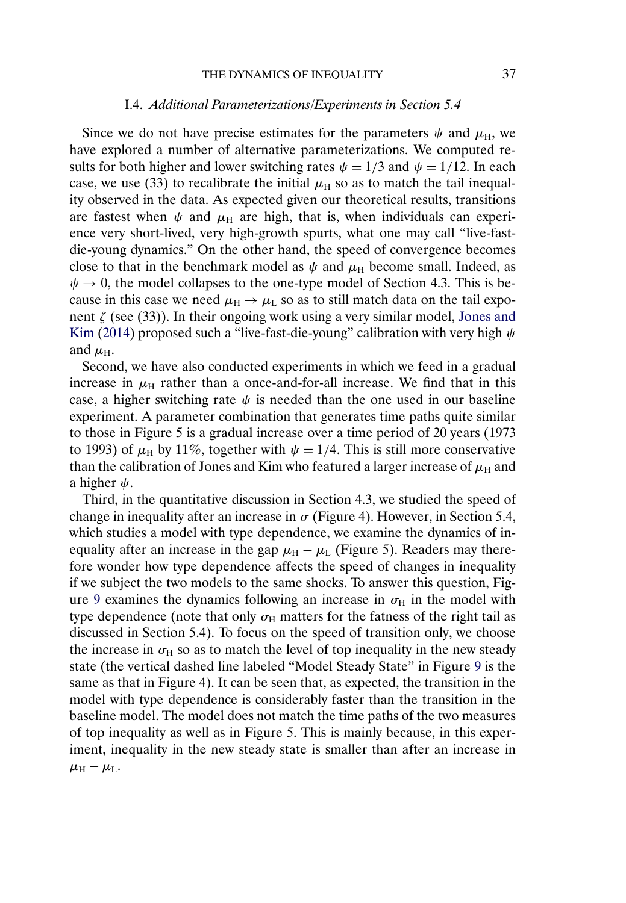<span id="page-36-0"></span>Since we do not have precise estimates for the parameters  $\psi$  and  $\mu_{\rm H}$ , we have explored a number of alternative parameterizations. We computed results for both higher and lower switching rates  $\psi = 1/3$  and  $\psi = 1/12$ . In each case, we use (33) to recalibrate the initial  $\mu_H$  so as to match the tail inequality observed in the data. As expected given our theoretical results, transitions are fastest when  $\psi$  and  $\mu_H$  are high, that is, when individuals can experience very short-lived, very high-growth spurts, what one may call "live-fastdie-young dynamics." On the other hand, the speed of convergence becomes close to that in the benchmark model as  $\psi$  and  $\mu$ <sub>H</sub> become small. Indeed, as  $\psi \rightarrow 0$ , the model collapses to the one-type model of Section 4.3. This is because in this case we need  $\mu_H \rightarrow \mu_L$  so as to still match data on the tail exponent  $\zeta$  (see (33)). In their ongoing work using a very similar model, [Jones and](#page-38-0) [Kim](#page-38-0) [\(2014\)](#page-38-0) proposed such a "live-fast-die-young" calibration with very high  $\psi$ and  $\mu_{\rm H}$ .

Second, we have also conducted experiments in which we feed in a gradual increase in  $\mu_H$  rather than a once-and-for-all increase. We find that in this case, a higher switching rate  $\psi$  is needed than the one used in our baseline experiment. A parameter combination that generates time paths quite similar to those in Figure 5 is a gradual increase over a time period of 20 years (1973 to 1993) of  $\mu$ <sub>H</sub> by 11%, together with  $\psi = 1/4$ . This is still more conservative than the calibration of Jones and Kim who featured a larger increase of  $\mu_H$  and a higher  $\psi$ .

Third, in the quantitative discussion in Section 4.3, we studied the speed of change in inequality after an increase in  $\sigma$  (Figure 4). However, in Section 5.4, which studies a model with type dependence, we examine the dynamics of inequality after an increase in the gap  $\mu_H - \mu_L$  (Figure 5). Readers may therefore wonder how type dependence affects the speed of changes in inequality if we subject the two models to the same shocks. To answer this question, Fig-ure [9](#page-37-0) examines the dynamics following an increase in  $\sigma_H$  in the model with type dependence (note that only  $\sigma_H$  matters for the fatness of the right tail as discussed in Section 5.4). To focus on the speed of transition only, we choose the increase in  $\sigma_{\text{H}}$  so as to match the level of top inequality in the new steady state (the vertical dashed line labeled "Model Steady State" in Figure [9](#page-37-0) is the same as that in Figure 4). It can be seen that, as expected, the transition in the model with type dependence is considerably faster than the transition in the baseline model. The model does not match the time paths of the two measures of top inequality as well as in Figure 5. This is mainly because, in this experiment, inequality in the new steady state is smaller than after an increase in  $\mu_{\rm H} - \mu_{\rm L}$ .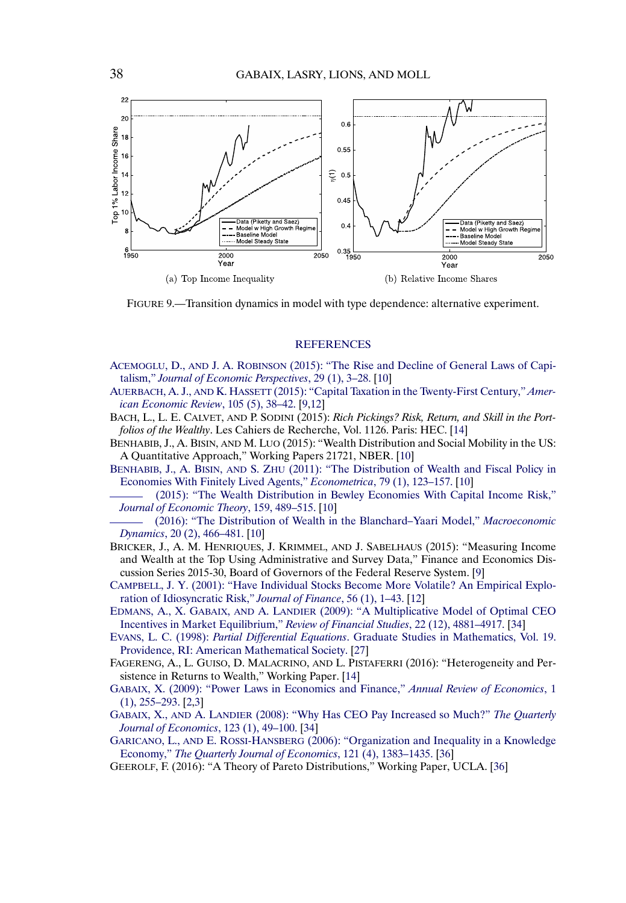<span id="page-37-0"></span>

FIGURE 9.—Transition dynamics in model with type dependence: alternative experiment.

## **[REFERENCES](http://www.e-publications.org/srv/ecta/linkserver/setprefs?rfe_id=urn:sici%2F0012-9682%28201611%2984%3A6%2B%3C1%3ASTTDOI%3E2.0.CO%3B2-Z)**

- ACEMOGLU, D., AND J. A. ROBINSON [\(2015\): "The Rise and Decline of General Laws of Capi](http://www.e-publications.org/srv/ecta/linkserver/openurl?rft_dat=bib:1/acemoglu-robinson&rfe_id=urn:sici%2F0012-9682%28201611%2984%3A6%2B%3C1%3ASTTDOI%3E2.0.CO%3B2-Z)talism," *[Journal of Economic Perspectives](http://www.e-publications.org/srv/ecta/linkserver/openurl?rft_dat=bib:1/acemoglu-robinson&rfe_id=urn:sici%2F0012-9682%28201611%2984%3A6%2B%3C1%3ASTTDOI%3E2.0.CO%3B2-Z)*, 29 (1), 3–28. [\[10\]](#page-9-0)
- AUERBACH, A. J., AND K. HASSETT [\(2015\): "Capital Taxation in the Twenty-First Century,"](http://www.e-publications.org/srv/ecta/linkserver/openurl?rft_dat=bib:2/auerbach-hassett&rfe_id=urn:sici%2F0012-9682%28201611%2984%3A6%2B%3C1%3ASTTDOI%3E2.0.CO%3B2-Z) *Amer[ican Economic Review](http://www.e-publications.org/srv/ecta/linkserver/openurl?rft_dat=bib:2/auerbach-hassett&rfe_id=urn:sici%2F0012-9682%28201611%2984%3A6%2B%3C1%3ASTTDOI%3E2.0.CO%3B2-Z)*, 105 (5), 38–42. [\[9](#page-8-0)[,12\]](#page-11-0)
- BACH, L., L. E. CALVET, AND P. SODINI (2015): *Rich Pickings? Risk, Return, and Skill in the Portfolios of the Wealthy*. Les Cahiers de Recherche, Vol. 1126. Paris: HEC. [\[14\]](#page-13-0)
- BENHABIB, J., A. BISIN, AND M. LUO (2015): "Wealth Distribution and Social Mobility in the US: A Quantitative Approach," Working Papers 21721, NBER. [\[10\]](#page-9-0)
- BENHABIB, J., A. BISIN, AND S. ZHU [\(2011\): "The Distribution of Wealth and Fiscal Policy in](http://www.e-publications.org/srv/ecta/linkserver/openurl?rft_dat=bib:5/benhabib-bisin-zhu&rfe_id=urn:sici%2F0012-9682%28201611%2984%3A6%2B%3C1%3ASTTDOI%3E2.0.CO%3B2-Z) [Economies With Finitely Lived Agents,"](http://www.e-publications.org/srv/ecta/linkserver/openurl?rft_dat=bib:5/benhabib-bisin-zhu&rfe_id=urn:sici%2F0012-9682%28201611%2984%3A6%2B%3C1%3ASTTDOI%3E2.0.CO%3B2-Z) *Econometrica*, 79 (1), 123–157. [\[10\]](#page-9-0)
- [\(2015\): "The Wealth Distribution in Bewley Economies With Capital Income Risk,"](http://www.e-publications.org/srv/ecta/linkserver/openurl?rft_dat=bib:6/benhabib-bisin-zhu3&rfe_id=urn:sici%2F0012-9682%28201611%2984%3A6%2B%3C1%3ASTTDOI%3E2.0.CO%3B2-Z) *[Journal of Economic Theory](http://www.e-publications.org/srv/ecta/linkserver/openurl?rft_dat=bib:6/benhabib-bisin-zhu3&rfe_id=urn:sici%2F0012-9682%28201611%2984%3A6%2B%3C1%3ASTTDOI%3E2.0.CO%3B2-Z)*, 159, 489–515. [\[10\]](#page-9-0)

[\(2016\): "The Distribution of Wealth in the Blanchard–Yaari Model,"](http://www.e-publications.org/srv/ecta/linkserver/openurl?rft_dat=bib:7/benhabib-bisin-zhu2&rfe_id=urn:sici%2F0012-9682%28201611%2984%3A6%2B%3C1%3ASTTDOI%3E2.0.CO%3B2-Z) *Macroeconomic Dynamics*[, 20 \(2\), 466–481.](http://www.e-publications.org/srv/ecta/linkserver/openurl?rft_dat=bib:7/benhabib-bisin-zhu2&rfe_id=urn:sici%2F0012-9682%28201611%2984%3A6%2B%3C1%3ASTTDOI%3E2.0.CO%3B2-Z) [\[10\]](#page-9-0)

- BRICKER, J., A. M. HENRIQUES, J. KRIMMEL, AND J. SABELHAUS (2015): "Measuring Income and Wealth at the Top Using Administrative and Survey Data," Finance and Economics Discussion Series 2015-30, Board of Governors of the Federal Reserve System. [\[9\]](#page-8-0)
- [CAMPBELL, J. Y. \(2001\): "Have Individual Stocks Become More Volatile? An Empirical Explo](http://www.e-publications.org/srv/ecta/linkserver/openurl?rft_dat=bib:9/campbell-etal&rfe_id=urn:sici%2F0012-9682%28201611%2984%3A6%2B%3C1%3ASTTDOI%3E2.0.CO%3B2-Z)[ration of Idiosyncratic Risk,"](http://www.e-publications.org/srv/ecta/linkserver/openurl?rft_dat=bib:9/campbell-etal&rfe_id=urn:sici%2F0012-9682%28201611%2984%3A6%2B%3C1%3ASTTDOI%3E2.0.CO%3B2-Z) *Journal of Finance*, 56 (1), 1–43. [\[12\]](#page-11-0)
- EDMANS, A., X. GABAIX, AND A. LANDIER [\(2009\): "A Multiplicative Model of Optimal CEO](http://www.e-publications.org/srv/ecta/linkserver/openurl?rft_dat=bib:10/edmans-gabaixlandier&rfe_id=urn:sici%2F0012-9682%28201611%2984%3A6%2B%3C1%3ASTTDOI%3E2.0.CO%3B2-Z) [Incentives in Market Equilibrium,"](http://www.e-publications.org/srv/ecta/linkserver/openurl?rft_dat=bib:10/edmans-gabaixlandier&rfe_id=urn:sici%2F0012-9682%28201611%2984%3A6%2B%3C1%3ASTTDOI%3E2.0.CO%3B2-Z) *Review of Financial Studies*, 22 (12), 4881–4917. [\[34\]](#page-33-0)
- EVANS, L. C. (1998): *Partial Differential Equations*[. Graduate Studies in Mathematics, Vol. 19.](http://www.e-publications.org/srv/ecta/linkserver/openurl?rft_dat=bib:11/evans&rfe_id=urn:sici%2F0012-9682%28201611%2984%3A6%2B%3C1%3ASTTDOI%3E2.0.CO%3B2-Z) [Providence, RI: American Mathematical Society.](http://www.e-publications.org/srv/ecta/linkserver/openurl?rft_dat=bib:11/evans&rfe_id=urn:sici%2F0012-9682%28201611%2984%3A6%2B%3C1%3ASTTDOI%3E2.0.CO%3B2-Z) [\[27\]](#page-26-0)
- FAGERENG, A., L. GUISO, D. MALACRINO, AND L. PISTAFERRI (2016): "Heterogeneity and Persistence in Returns to Wealth," Working Paper. [\[14\]](#page-13-0)
- [GABAIX, X. \(2009\): "Power Laws in Economics and Finance,"](http://www.e-publications.org/srv/ecta/linkserver/openurl?rft_dat=bib:13/gabaix-AR&rfe_id=urn:sici%2F0012-9682%28201611%2984%3A6%2B%3C1%3ASTTDOI%3E2.0.CO%3B2-Z) *Annual Review of Economics*, 1 [\(1\), 255–293.](http://www.e-publications.org/srv/ecta/linkserver/openurl?rft_dat=bib:13/gabaix-AR&rfe_id=urn:sici%2F0012-9682%28201611%2984%3A6%2B%3C1%3ASTTDOI%3E2.0.CO%3B2-Z) [\[2](#page-1-0)[,3\]](#page-2-0)
- GABAIX, X., AND A. LANDIER [\(2008\): "Why Has CEO Pay Increased so Much?"](http://www.e-publications.org/srv/ecta/linkserver/openurl?rft_dat=bib:14/gabaixlandier&rfe_id=urn:sici%2F0012-9682%28201611%2984%3A6%2B%3C1%3ASTTDOI%3E2.0.CO%3B2-Z) *The Quarterly [Journal of Economics](http://www.e-publications.org/srv/ecta/linkserver/openurl?rft_dat=bib:14/gabaixlandier&rfe_id=urn:sici%2F0012-9682%28201611%2984%3A6%2B%3C1%3ASTTDOI%3E2.0.CO%3B2-Z)*, 123 (1), 49–100. [\[34\]](#page-33-0)
- GARICANO, L., AND E. ROSSI-HANSBERG [\(2006\): "Organization and Inequality in a Knowledge](http://www.e-publications.org/srv/ecta/linkserver/openurl?rft_dat=bib:15/garicano-rossihansberg&rfe_id=urn:sici%2F0012-9682%28201611%2984%3A6%2B%3C1%3ASTTDOI%3E2.0.CO%3B2-Z) Economy," *[The Quarterly Journal of Economics](http://www.e-publications.org/srv/ecta/linkserver/openurl?rft_dat=bib:15/garicano-rossihansberg&rfe_id=urn:sici%2F0012-9682%28201611%2984%3A6%2B%3C1%3ASTTDOI%3E2.0.CO%3B2-Z)*, 121 (4), 1383–1435. [\[36\]](#page-35-0)
- GEEROLF, F. (2016): "A Theory of Pareto Distributions," Working Paper, UCLA. [\[36\]](#page-35-0)